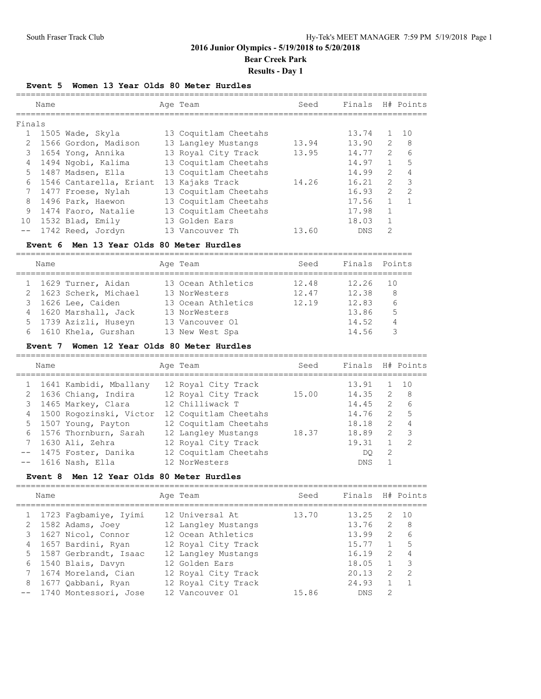**Bear Creek Park**

# **Results - Day 1**

## **Event 5 Women 13 Year Olds 80 Meter Hurdles**

|                | Name                    | Age Team              | Seed  | Finals     |               | H# Points     |
|----------------|-------------------------|-----------------------|-------|------------|---------------|---------------|
| Finals         |                         |                       |       |            |               |               |
|                | 1505 Wade, Skyla        | 13 Coquitlam Cheetahs |       | 13.74      | $\mathbf{1}$  | 10            |
| 2              | 1566 Gordon, Madison    | 13 Langley Mustangs   | 13.94 | 13.90      | 2             | 8             |
| 3              | 1654 Yong, Annika       | 13 Royal City Track   | 13.95 | 14.77      | $\mathcal{L}$ | 6             |
| 4              | 1494 Ngobi, Kalima      | 13 Coquitlam Cheetahs |       | 14.97      | $\mathbf{1}$  | 5             |
| 5              | 1487 Madsen, Ella       | 13 Coquitlam Cheetahs |       | 14.99      | $\mathcal{L}$ | 4             |
| 6              | 1546 Cantarella, Eriant | 13 Kajaks Track       | 14.26 | 16.21      | $\mathcal{L}$ | 3             |
| $7\phantom{.}$ | 1477 Froese, Nylah      | 13 Coquitlam Cheetahs |       | 16.93      | $\mathcal{L}$ | $\mathcal{P}$ |
| 8              | 1496 Park, Haewon       | 13 Coquitlam Cheetahs |       | 17.56      | $\mathbf{1}$  | $\mathbf{1}$  |
| 9              | 1474 Faoro, Natalie     | 13 Coquitlam Cheetahs |       | 17.98      | $\mathbf{1}$  |               |
| 10             | 1532 Blad, Emily        | 13 Golden Ears        |       | 18.03      |               |               |
|                | 1742 Reed, Jordyn       | 13 Vancouver Th       | 13.60 | <b>DNS</b> | 2             |               |
|                |                         |                       |       |            |               |               |

#### **Event 6 Men 13 Year Olds 80 Meter Hurdles**

================================================================================

| Name                   | Age Team           | Seed  | Finals Points |     |
|------------------------|--------------------|-------|---------------|-----|
| 1 1629 Turner, Aidan   | 13 Ocean Athletics | 12.48 | 12.26         | -10 |
| 2 1623 Scherk, Michael | 13 NorWesters      | 12.47 | 12.38         | 8   |
| 3 1626 Lee, Caiden     | 13 Ocean Athletics | 12.19 | 12.83         | 6   |
| 4 1620 Marshall, Jack  | 13 NorWesters      |       | 13.86         | 5   |
| 5 1739 Azizli, Huseyn  | 13 Vancouver Ol    |       | 14.52         | 4   |
| 6 1610 Khela, Gurshan  | 13 New West Spa    |       | 14.56         |     |

## **Event 7 Women 12 Year Olds 80 Meter Hurdles**

|       | Name                    | Age Team              | Seed  | Finals     |               | H# Points |
|-------|-------------------------|-----------------------|-------|------------|---------------|-----------|
|       | 1641 Kambidi, Mballany  | 12 Royal City Track   |       | 13.91      |               | 10        |
|       | 1636 Chiang, Indira     | 12 Royal City Track   | 15.00 | 14.35      | 2             | 8         |
|       | 1465 Markey, Clara      | 12 Chilliwack T       |       | 14.45      | 2             | 6         |
|       | 1500 Rogozinski, Victor | 12 Coquitlam Cheetahs |       | 14.76      | $\mathcal{P}$ | 5         |
| $5 -$ | 1507 Young, Payton      | 12 Coquitlam Cheetahs |       | 18.18      | $\mathcal{L}$ |           |
| 6     | 1576 Thornburn, Sarah   | 12 Langley Mustangs   | 18.37 | 18.89      | $\mathcal{L}$ | 3         |
|       | 1630 Ali, Zehra         | 12 Royal City Track   |       | 19.31      |               | 2         |
|       | 1475 Foster, Danika     | 12 Coquitlam Cheetahs |       | DO         | 2             |           |
|       | 1616 Nash, Ella         | 12 NorWesters         |       | <b>DNS</b> |               |           |
|       |                         |                       |       |            |               |           |

# **Event 8 Men 12 Year Olds 80 Meter Hurdles**

|   | Name                     | Age Team            | Seed  | Finals     |               | H# Points |
|---|--------------------------|---------------------|-------|------------|---------------|-----------|
|   | 1 1723 Faqbamiye, Iyimi  | 12 Universal At     | 13.70 | 13.25      | 2             | 10        |
|   | 2 1582 Adams, Joey       | 12 Langley Mustangs |       | 13.76      | $\mathcal{L}$ | 8         |
|   | 1627 Nicol, Connor       | 12 Ocean Athletics  |       | 13.99      | $\mathcal{L}$ | 6         |
|   | 1657 Bardini, Ryan       | 12 Royal City Track |       | 15.77      |               | 5         |
| 5 | 1587 Gerbrandt, Isaac    | 12 Langley Mustangs |       | 16.19      | $\mathcal{L}$ |           |
| 6 | 1540 Blais, Davyn        | 12 Golden Ears      |       | 18.05      |               |           |
|   | 1674 Moreland, Cian      | 12 Royal City Track |       | 20.13      | $\mathcal{P}$ | 2         |
| 8 | 1677 Qabbani, Ryan       | 12 Royal City Track |       | 24.93      |               |           |
|   | -- 1740 Montessori, Jose | 12 Vancouver Ol     | 15.86 | <b>DNS</b> | 2             |           |
|   |                          |                     |       |            |               |           |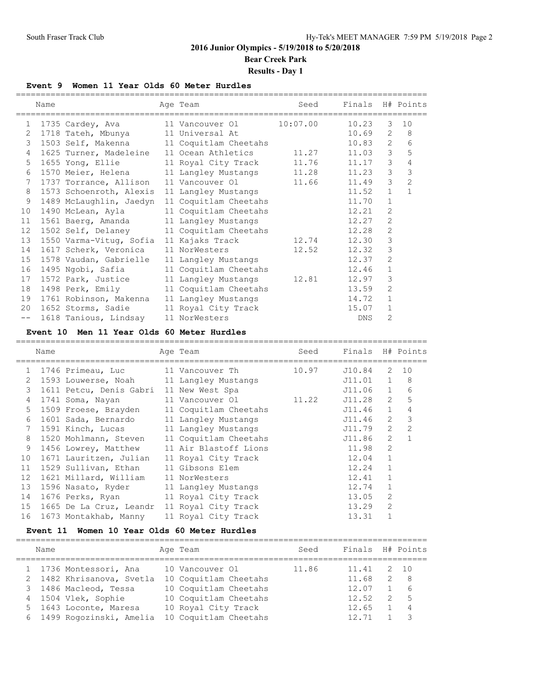**Bear Creek Park Results - Day 1**

# **Event 9 Women 11 Year Olds 60 Meter Hurdles**

|      | Name |                                               | Age Team                                   | Seed     | Finals H# Points |                |                |
|------|------|-----------------------------------------------|--------------------------------------------|----------|------------------|----------------|----------------|
| 1    |      | 1735 Cardey, Ava                              | 11 Vancouver Ol                            | 10:07.00 | 10.23            | 3              | 10             |
| 2    |      | 1718 Tateh, Mbunya                            | 11 Universal At                            |          | 10.69            | $\overline{2}$ | 8              |
| 3    |      |                                               | 1503 Self, Makenna 11 Coquitlam Cheetahs   |          | 10.83            | 2              | 6              |
| 4    |      | 1625 Turner, Madeleine 11 Ocean Athletics     |                                            | 11.27    | 11.03            | 3              | 5              |
| 5    |      |                                               | 1655 Yong, Ellie 11 Royal City Track 11.76 |          | 11.17            | 3              | 4              |
| 6    |      |                                               | 1570 Meier, Helena 11 Langley Mustangs     | 11.28    | 11.23            | 3              | 3              |
| 7    |      | 1737 Torrance, Allison 11 Vancouver Ol        |                                            | 11.66    | 11.49            | 3              | $\overline{2}$ |
| 8    |      | 1573 Schoenroth, Alexis 11 Langley Mustangs   |                                            |          | 11.52            | $\mathbf{1}$   | $\mathbf{1}$   |
| 9    |      | 1489 McLaughlin, Jaedyn 11 Coquitlam Cheetahs |                                            |          | 11.70            | $\mathbf{1}$   |                |
| 10   |      | 1490 McLean, Ayla 11 Coquitlam Cheetahs       |                                            |          | 12.21            | 2              |                |
| 11   |      | 1561 Baerg, Amanda                            | 11 Langley Mustangs                        |          | 12.27            | 2              |                |
| 12   |      |                                               | 1502 Self, Delaney 11 Coquitlam Cheetahs   |          | 12.28            | $\overline{2}$ |                |
| 13   |      | 1550 Varma-Vitug, Sofia 11 Kajaks Track       |                                            | 12.74    | 12.30            | 3              |                |
| 14   |      | 1617 Scherk, Veronica                         | 11 NorWesters                              | 12.52    | 12.32            | 3              |                |
| 15   |      | 1578 Vaudan, Gabrielle                        | 11 Langley Mustangs                        |          | 12.37            | $\overline{c}$ |                |
| 16   |      | 1495 Ngobi, Safia                             | 11 Coquitlam Cheetahs                      |          | 12.46            | $\mathbf{1}$   |                |
| 17   |      | 1572 Park, Justice                            | 11 Langley Mustangs                        | 12.81    | 12.97            | 3              |                |
| 18   |      | 1498 Perk, Emily 11 Coquitlam Cheetahs        |                                            |          | 13.59            | 2              |                |
| 19   |      | 1761 Robinson, Makenna 11 Langley Mustangs    |                                            |          | 14.72            | $\mathbf{1}$   |                |
| 20   |      | 1652 Storms, Sadie 11 Royal City Track        |                                            |          | 15.07            | $\mathbf{1}$   |                |
| $ -$ |      | 1618 Tanious, Lindsay                         | 11 NorWesters                              |          | <b>DNS</b>       | 2              |                |
|      |      |                                               |                                            |          |                  |                |                |

# **Event 10 Men 11 Year Olds 60 Meter Hurdles**

|               | Name                                        | Age Team              | Seed  | Finals H# Points |                |               |
|---------------|---------------------------------------------|-----------------------|-------|------------------|----------------|---------------|
| $\mathbf{1}$  |                                             |                       | 10.97 | J10.84           | 2              | 10            |
| $\mathcal{L}$ | 1593 Louwerse, Noah 11 Langley Mustangs     |                       |       | J11.01 1         |                | 8             |
| 3             | 1611 Petcu, Denis Gabri 11 New West Spa     |                       |       | J11.06           | 1              | 6             |
| 4             | 1741 Soma, Nayan                            | 11 Vancouver Ol       | 11.22 | J11.28           | $\overline{2}$ | 5             |
| 5             | 1509 Froese, Brayden                        | 11 Coquitlam Cheetahs |       | J11.46           | $\mathbf{1}$   | 4             |
| 6             | 1601 Sada, Bernardo 11 Langley Mustangs     |                       |       | J11.46           | $\overline{2}$ | 3             |
| 7             | 1591 Kinch, Lucas 11 Langley Mustangs       |                       |       | J11.79           | $\overline{2}$ | $\mathcal{P}$ |
| 8             | 1520 Mohlmann, Steven                       | 11 Coquitlam Cheetahs |       | J11.86           | $\mathcal{L}$  | 1             |
| 9             | 1456 Lowrey, Matthew                        | 11 Air Blastoff Lions |       | 11.98            | $\overline{2}$ |               |
| 10            | 1671 Lauritzen, Julian                      | 11 Royal City Track   |       | 12.04            | $\mathbf{1}$   |               |
| 11            | 1529 Sullivan, Ethan                        | 11 Gibsons Elem       |       | 12.24            |                |               |
| 12            | 1621 Millard, William                       | 11 NorWesters         |       | 12.41            |                |               |
| 13            | 1596 Nasato, Ryder                          | 11 Langley Mustangs   |       | 12.74            |                |               |
| 14            | 1676 Perks, Ryan 11 Royal City Track        |                       |       | 13.05            | $\overline{2}$ |               |
| 15            | 1665 De La Cruz, Leandr 11 Royal City Track |                       |       | 13.29            | 2              |               |
| 16            | 1673 Montakhab, Manny                       | 11 Royal City Track   |       | 13.31            |                |               |
|               |                                             |                       |       |                  |                |               |

# **Event 11 Women 10 Year Olds 60 Meter Hurdles**

| Name                      | Age Team              | Seed  | Finals H# Points |               |     |
|---------------------------|-----------------------|-------|------------------|---------------|-----|
| 1 1736 Montessori, Ana    | 10 Vancouver Ol       | 11.86 | 11.41            |               | 10  |
| 1482 Khrisanova, Svetla   | 10 Coquitlam Cheetahs |       | 11.68            | 2             | - 8 |
| 3 1486 Macleod, Tessa     | 10 Coquitlam Cheetahs |       | 12.07            |               | 6   |
| 4 1504 Vlek, Sophie       | 10 Coquitlam Cheetahs |       | 12.52            | $\mathcal{L}$ | -5  |
| 5 1643 Loconte, Maresa    | 10 Royal City Track   |       | 12.65            |               | 4   |
| 6 1499 Rogozinski, Amelia | 10 Coquitlam Cheetahs |       | 12.71            |               |     |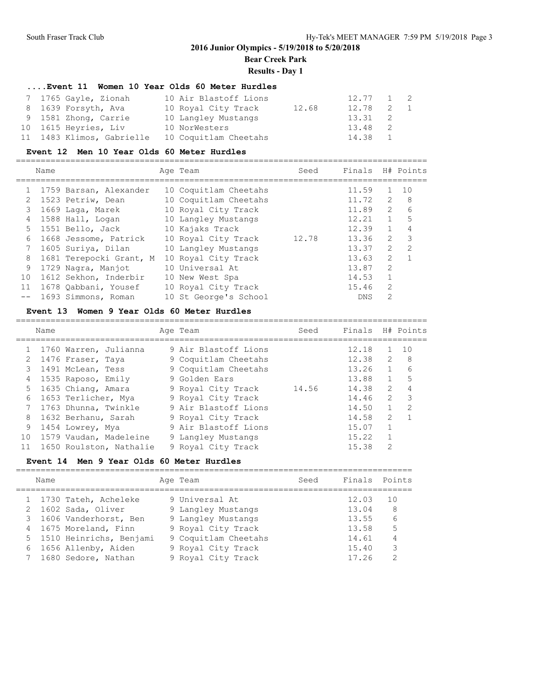**Bear Creek Park**

**Results - Day 1**

#### **....Event 11 Women 10 Year Olds 60 Meter Hurdles**

| 7 1765 Gayle, Zionah      | 10 Air Blastoff Lions |       | $12.77$ 1 2 |  |
|---------------------------|-----------------------|-------|-------------|--|
| 8 1639 Forsyth, Ava       | 10 Royal City Track   | 12.68 | 12.78 2 1   |  |
| 9 1581 Zhong, Carrie      | 10 Langley Mustangs   |       | $13.31$ 2   |  |
| 10 1615 Heyries, Liv      | 10 NorWesters         |       | 13.48 2     |  |
| 11 1483 Klimos, Gabrielle | 10 Coquitlam Cheetahs |       | 14.38 1     |  |

#### **Event 12 Men 10 Year Olds 60 Meter Hurdles**

Name Age Team Seed Finals H# Points =================================================================================== 1 1759 Barsan, Alexander 10 Coquitlam Cheetahs 11.59 1 10 2 1523 Petriw, Dean 10 Coquitlam Cheetahs 11.72 2 8 3 1669 Laga, Marek 10 Royal City Track 11.89 2 6 4 1588 Hall, Logan 10 Langley Mustangs 12.21 1 5 5 1551 Bello, Jack 10 Kajaks Track 12.39 1 4 6 1668 Jessome, Patrick 10 Royal City Track 12.78 13.36 2 3 7 1605 Suriya, Dilan 10 Langley Mustangs 13.37 2 2 8 1681 Terepocki Grant, M 10 Royal City Track 13.63 2 1 9 1729 Nagra, Manjot 10 Universal At 13.87 2 10 1612 Sekhon, Inderbir 10 New West Spa 14.53 1 11 1678 Qabbani, Yousef 10 Royal City Track 15.46 2 -- 1693 Simmons, Roman 10 St George's School DNS 2

===================================================================================

#### **Event 13 Women 9 Year Olds 60 Meter Hurdles**

|    | Name                    | Age Team             | Seed  | Finals |                | H# Points |
|----|-------------------------|----------------------|-------|--------|----------------|-----------|
|    | 1760 Warren, Julianna   | 9 Air Blastoff Lions |       | 12.18  |                | 1 O       |
|    | 1476 Fraser, Taya       | 9 Coquitlam Cheetahs |       | 12.38  | $\mathcal{L}$  | 8         |
| 3  | 1491 McLean, Tess       | 9 Coquitlam Cheetahs |       | 13.26  | $\mathbf{1}$   | 6         |
| 4  | 1535 Raposo, Emily      | 9 Golden Ears        |       | 13.88  | $\mathbf{1}$   | 5         |
| 5  | 1635 Chiang, Amara      | 9 Royal City Track   | 14.56 | 14.38  | $\mathcal{L}$  |           |
| 6  | 1653 Terlicher, Mya     | 9 Royal City Track   |       | 14.46  | $\mathcal{L}$  | 3         |
|    | 1763 Dhunna, Twinkle    | 9 Air Blastoff Lions |       | 14.50  |                | 2         |
| 8  | 1632 Berhanu, Sarah     | 9 Royal City Track   |       | 14.58  | $\overline{2}$ |           |
| 9  | 1454 Lowrey, Mya        | 9 Air Blastoff Lions |       | 15.07  |                |           |
| 10 | 1579 Vaudan, Madeleine  | 9 Langley Mustangs   |       | 15.22  |                |           |
| 11 | 1650 Roulston, Nathalie | 9 Royal City Track   |       | 15.38  | $\mathcal{L}$  |           |

#### **Event 14 Men 9 Year Olds 60 Meter Hurdles**

| Name                   | Age Team           | Seed | Finals Points |  |
|------------------------|--------------------|------|---------------|--|
| 1 1730 Tateh, Acheleke | 9 Universal At     |      | 12.03 10      |  |
| 2 1602 Sada, Oliver    | 9 Langley Mustangs |      | 13.04         |  |
|                        |                    |      |               |  |

| 3 1606 Vanderhorst, Ben   | 9 Langley Mustangs   | 13.55 | - 6            |
|---------------------------|----------------------|-------|----------------|
| 4 1675 Moreland, Finn     | 9 Royal City Track   | 13.58 | - 5            |
| 5 1510 Heinrichs, Benjami | 9 Coquitlam Cheetahs | 14.61 | $\overline{4}$ |
| 6 1656 Allenby, Aiden     | 9 Royal City Track   | 15.40 | - 3            |
| 7 1680 Sedore, Nathan     | 9 Royal City Track   | 17.26 | -2             |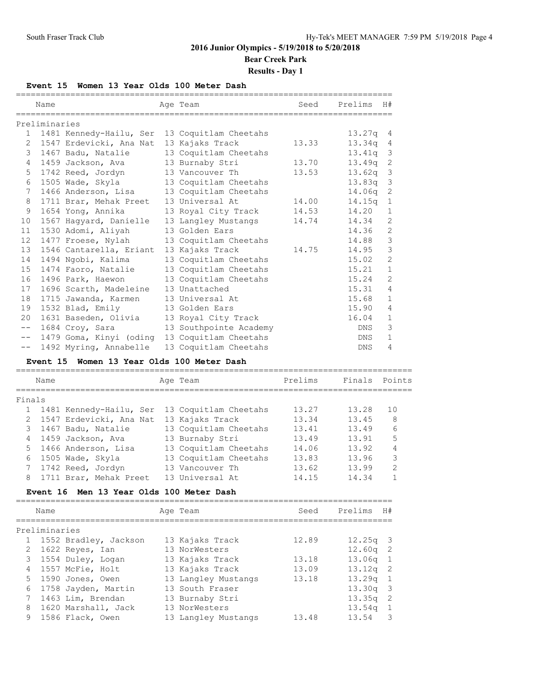# **Bear Creek Park**

# **Results - Day 1**

## **Event 15 Women 13 Year Olds 100 Meter Dash**

|                 | Name          |                                               | Age Team                               | Seed  | Prelims            | H#             |
|-----------------|---------------|-----------------------------------------------|----------------------------------------|-------|--------------------|----------------|
|                 |               |                                               |                                        |       |                    |                |
|                 | Preliminaries |                                               |                                        |       |                    |                |
| $\mathbf{1}$    |               | 1481 Kennedy-Hailu, Ser 13 Coquitlam Cheetahs |                                        |       | 13.27 <sub>q</sub> | 4              |
| 2               |               | 1547 Erdevicki, Ana Nat 13 Kajaks Track       |                                        | 13.33 | 13.34q 4           |                |
| 3               |               | 1467 Badu, Natalie                            | 13 Coquitlam Cheetahs                  |       | $13.41q$ 3         |                |
| 4               |               | 1459 Jackson, Ava                             | 13 Burnaby Stri                        | 13.70 | 13.49q 2           |                |
| 5               |               | 1742 Reed, Jordyn                             | 13 Vancouver Th                        | 13.53 | $13.62q$ 3         |                |
| 6               |               | 1505 Wade, Skyla                              | 13 Coquitlam Cheetahs                  |       | $13.83q$ 3         |                |
| $7\phantom{.0}$ |               | 1466 Anderson, Lisa                           | 13 Coquitlam Cheetahs                  |       | 14.06q 2           |                |
| 8               |               | 1711 Brar, Mehak Preet                        | 13 Universal At                        | 14.00 | 14.15q             | 1              |
| 9               |               | 1654 Yong, Annika                             | 13 Royal City Track                    | 14.53 | 14.20              | $\mathbf{1}$   |
| 10              |               | 1567 Hagyard, Danielle                        | 13 Langley Mustangs                    | 14.74 | 14.34              | 2              |
| 11              |               | 1530 Adomi, Aliyah                            | 13 Golden Ears                         |       | 14.36              | 2              |
| 12              |               | 1477 Froese, Nylah                            | 13 Coquitlam Cheetahs                  |       | 14.88              | $\mathcal{E}$  |
| 13              |               | 1546 Cantarella, Eriant                       | 13 Kajaks Track                        | 14.75 | 14.95              | $\mathcal{S}$  |
| 14              |               | 1494 Ngobi, Kalima                            | 13 Coquitlam Cheetahs                  |       | 15.02              | $\overline{2}$ |
| 15              |               | 1474 Faoro, Natalie                           | 13 Coquitlam Cheetahs                  |       | 15.21              | $\mathbf{1}$   |
| 16              |               | 1496 Park, Haewon                             | 13 Coquitlam Cheetahs                  |       | 15.24              | $\overline{2}$ |
| 17              |               | 1696 Scarth, Madeleine                        | 13 Unattached                          |       | 15.31              | 4              |
| 18              |               | 1715 Jawanda, Karmen                          | 13 Universal At                        |       | 15.68              | $\mathbf{1}$   |
| 19              |               | 1532 Blad, Emily                              | 13 Golden Ears                         |       | 15.90              | 4              |
| 20              |               | 1631 Baseden, Olivia                          | 13 Royal City Track                    |       | 16.04              | $\mathbf{1}$   |
| $--$            |               |                                               | 1684 Croy, Sara 13 Southpointe Academy |       | DNS                | 3              |
| $- -$           |               | 1479 Goma, Kinyi (oding 13 Coquitlam Cheetahs |                                        |       | DNS.               | $\mathbf{1}$   |
| $- -$           |               | 1492 Myring, Annabelle                        | 13 Coquitlam Cheetahs                  |       | <b>DNS</b>         | 4              |

#### **Event 15 Women 13 Year Olds 100 Meter Dash**

|                | Name |                         | Age Team              | Prelims | Finals | Points         |
|----------------|------|-------------------------|-----------------------|---------|--------|----------------|
| Finals         |      |                         |                       |         |        |                |
|                |      | 1481 Kennedy-Hailu, Ser | 13 Coquitlam Cheetahs | 13.27   | 13.28  | 10             |
| $\overline{2}$ |      | 1547 Erdevicki, Ana Nat | 13 Kajaks Track       | 13.34   | 13.45  | 8              |
| 3              |      | 1467 Badu, Natalie      | 13 Coquitlam Cheetahs | 13.41   | 13.49  | 6              |
| 4              |      | 1459 Jackson, Ava       | 13 Burnaby Stri       | 13.49   | 13.91  | 5              |
|                |      | 5 1466 Anderson, Lisa   | 13 Coquitlam Cheetahs | 14.06   | 13.92  | 4              |
| 6              |      | 1505 Wade, Skyla        | 13 Coquitlam Cheetahs | 13.83   | 13.96  | 3              |
|                |      | 1742 Reed, Jordyn       | 13 Vancouver Th       | 13.62   | 13.99  | $\mathfrak{D}$ |
| 8              |      | 1711 Brar, Mehak Preet  | 13 Universal At       | 14.15   | 14.34  |                |
|                |      |                         |                       |         |        |                |

### **Event 16 Men 13 Year Olds 100 Meter Dash**

|                | Name                    | Age Team            | Seed  | Prelims    | H#  |
|----------------|-------------------------|---------------------|-------|------------|-----|
|                | Preliminaries           |                     |       |            |     |
|                | 1 1552 Bradley, Jackson | 13 Kajaks Track     | 12.89 | $12.25q$ 3 |     |
|                | 2 1622 Reyes, Ian       | 13 NorWesters       |       | $12.60q$ 2 |     |
|                | 3 1554 Duley, Logan     | 13 Kajaks Track     | 13.18 | $13.06q$ 1 |     |
| $\overline{4}$ | 1557 McFie, Holt        | 13 Kajaks Track     | 13.09 | $13.12q$ 2 |     |
|                | 5 1590 Jones, Owen      | 13 Langley Mustangs | 13.18 | $13.29q$ 1 |     |
| 6              | 1758 Jayden, Martin     | 13 South Fraser     |       | $13.30q$ 3 |     |
| $7\phantom{.}$ | 1463 Lim, Brendan       | 13 Burnaby Stri     |       | $13.35q$ 2 |     |
| 8              | 1620 Marshall, Jack     | 13 NorWesters       |       | $13.54q$ 1 |     |
| 9              | 1586 Flack, Owen        | 13 Langley Mustangs | 13.48 | 13.54      | - 3 |
|                |                         |                     |       |            |     |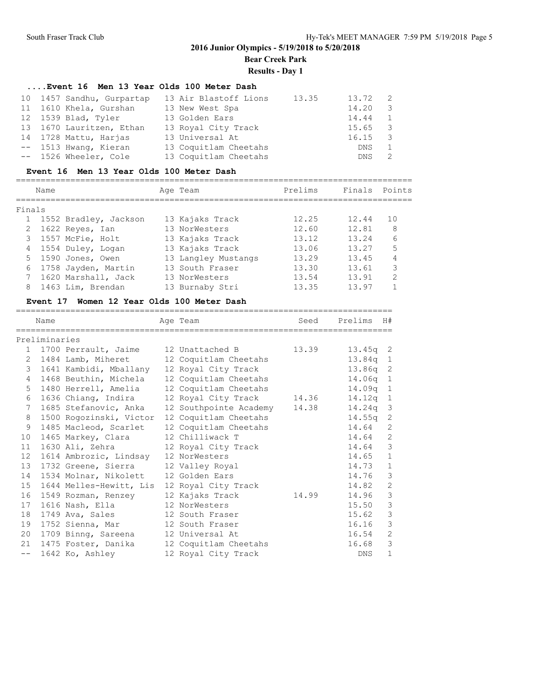**Bear Creek Park**

# **Results - Day 1**

# **....Event 16 Men 13 Year Olds 100 Meter Dash**

| 10 1457 Sandhu, Gurpartap | 13 Air Blastoff Lions<br>13.35 | 13.72 2   |                |
|---------------------------|--------------------------------|-----------|----------------|
| 11 1610 Khela, Gurshan    | 13 New West Spa                | 14.20     | $\overline{3}$ |
| 12 1539 Blad, Tyler       | 13 Golden Ears                 | 14.44     | $\sim$ 1       |
| 13 1670 Lauritzen, Ethan  | 13 Royal City Track            | 15.65 3   |                |
| 14 1728 Mattu, Harjas     | 13 Universal At                | $16.15$ 3 |                |
| -- 1513 Hwang, Kieran     | 13 Coquitlam Cheetahs          | DNS       | $\overline{1}$ |
| -- 1526 Wheeler, Cole     | 13 Coquitlam Cheetahs          | DNS       |                |

### **Event 16 Men 13 Year Olds 100 Meter Dash**

| Prelims<br>Name<br>Age Team                                   | Finals Points  |
|---------------------------------------------------------------|----------------|
|                                                               |                |
| Finals                                                        |                |
| 12.25<br>12.44<br>1552 Bradley, Jackson<br>13 Kajaks Track    | 1 O            |
| 2<br>12.81<br>1622 Reyes, Ian<br>12.60<br>13 NorWesters       | 8              |
| 3<br>1557 McFie, Holt<br>13.12<br>13.24<br>13 Kajaks Track    | 6              |
| 4<br>13 Kajaks Track<br>13.27<br>13.06<br>1554 Duley, Logan   | 5              |
| 5 1590 Jones, Owen<br>13 Langley Mustangs<br>13.29<br>13.45   | 4              |
| 13.30<br>13.61<br>6<br>1758 Jayden, Martin<br>13 South Fraser | 3              |
| 7 1620 Marshall, Jack<br>13.91<br>13.54<br>13 NorWesters      | $\mathfrak{D}$ |
| 8<br>13.97<br>1463 Lim, Brendan<br>13.35<br>13 Burnaby Stri   |                |

# **Event 17 Women 12 Year Olds 100 Meter Dash**

|                 | Name          |                                             | Age Team                  | Seed  | Prelims    | H#                      |
|-----------------|---------------|---------------------------------------------|---------------------------|-------|------------|-------------------------|
|                 | Preliminaries |                                             |                           |       |            |                         |
| $\mathbf{1}$    |               | 1700 Perrault, Jaime 12 Unattached B        |                           | 13.39 | $13.45q$ 2 |                         |
|                 |               | 2 1484 Lamb, Miheret 12 Coquitlam Cheetahs  |                           |       | 13.84q 1   |                         |
| 3 <sup>7</sup>  |               | 1641 Kambidi, Mballany 12 Royal City Track  |                           |       | 13.86q 2   |                         |
| $\overline{4}$  |               | 1468 Beuthin, Michela                       | 12 Coquitlam Cheetahs     |       | $14.06q$ 1 |                         |
| 5               |               | 1480 Herrell, Amelia                        | 12 Coquitlam Cheetahs     |       | $14.09q$ 1 |                         |
| 6               |               | 1636 Chiang, Indira                         | 12 Royal City Track 14.36 |       | $14.12q$ 1 |                         |
| $7\phantom{.0}$ |               | 1685 Stefanovic, Anka                       | 12 Southpointe Academy    | 14.38 | 14.24q 3   |                         |
| 8               |               | 1500 Rogozinski, Victor                     | 12 Coquitlam Cheetahs     |       | $14.55q$ 2 |                         |
| 9               |               | 1485 Macleod, Scarlet                       | 12 Coquitlam Cheetahs     |       | 14.64      | 2                       |
| 10              |               | 1465 Markey, Clara                          | 12 Chilliwack T           |       | 14.64      | 2                       |
| 11              |               | 1630 Ali, Zehra                             | 12 Royal City Track       |       | 14.64      | $\mathbf{3}$            |
| 12              |               | 1614 Ambrozic, Lindsay 12 NorWesters        |                           |       | 14.65      | $\,1\,$                 |
| 13              |               | 1732 Greene, Sierra                         | 12 Valley Royal           |       | 14.73      | $\mathbf{1}$            |
| 14              |               | 1534 Molnar, Nikolett                       | 12 Golden Ears            |       | 14.76      | $\overline{\mathbf{3}}$ |
| 15              |               | 1644 Melles-Hewitt, Lis 12 Royal City Track |                           |       | 14.82      | $\mathbf{2}$            |
| 16              |               | 1549 Rozman, Renzey                         | 12 Kajaks Track           | 14.99 | 14.96      | $\mathcal{S}$           |
| 17              |               | 1616 Nash, Ella 12 NorWesters               |                           |       | 15.50      | $\mathcal{S}$           |
| 18              |               | 1749 Ava, Sales 12 South Fraser             |                           |       | 15.62      | $\mathcal{S}$           |
| 19              |               | 1752 Sienna, Mar 12 South Fraser            |                           |       | 16.16      | 3                       |
| 20              |               | 1709 Binng, Sareena                         | 12 Universal At           |       | 16.54      | $\mathbf{2}$            |
| 21              |               | 1475 Foster, Danika 12 Coquitlam Cheetahs   |                           |       | 16.68      | $\mathsf 3$             |
| $- -$           |               | 1642 Ko, Ashley                             | 12 Royal City Track       |       | <b>DNS</b> | $\mathbf{1}$            |
|                 |               |                                             |                           |       |            |                         |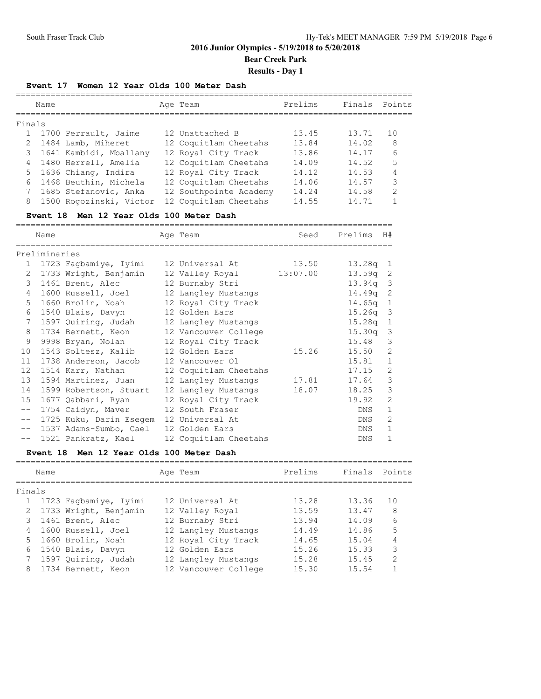**Bear Creek Park**

**Results - Day 1**

# **Event 17 Women 12 Year Olds 100 Meter Dash**

|        | Name |                         | Age Team               | Prelims | Finals | Points        |
|--------|------|-------------------------|------------------------|---------|--------|---------------|
| Finals |      |                         |                        |         |        |               |
|        |      | 1 1700 Perrault, Jaime  | 12 Unattached B        | 13.45   | 13.71  | 1 N           |
|        |      |                         |                        |         |        |               |
| 2      |      | 1484 Lamb, Miheret      | 12 Coquitlam Cheetahs  | 13.84   | 14.02  | 8             |
| 3      |      | 1641 Kambidi, Mballany  | 12 Royal City Track    | 13.86   | 14.17  | 6             |
| 4      |      | 1480 Herrell, Amelia    | 12 Coquitlam Cheetahs  | 14.09   | 14.52  | 5             |
| 5      |      | 1636 Chiang, Indira     | 12 Royal City Track    | 14.12   | 14.53  | 4             |
| 6      |      | 1468 Beuthin, Michela   | 12 Coquitlam Cheetahs  | 14.06   | 14.57  | 3             |
|        |      | 1685 Stefanovic, Anka   | 12 Southpointe Academy | 14.24   | 14.58  | $\mathcal{D}$ |
| 8      |      | 1500 Rogozinski, Victor | 12 Coquitlam Cheetahs  | 14.55   | 14.71  |               |

# **Event 18 Men 12 Year Olds 100 Meter Dash**

|                 | Name          |                                         | Age Team              | Seed     | Prelims    | H#             |
|-----------------|---------------|-----------------------------------------|-----------------------|----------|------------|----------------|
|                 | Preliminaries |                                         |                       |          |            |                |
| $\mathbf{1}$    |               | 1723 Faqbamiye, Iyimi 12 Universal At   |                       | 13.50    | $13.28q$ 1 |                |
| 2               |               | 1733 Wright, Benjamin                   | 12 Valley Royal       | 13:07.00 | $13.59q$ 2 |                |
| 3               |               | 1461 Brent, Alec                        | 12 Burnaby Stri       |          | $13.94q$ 3 |                |
| $\overline{4}$  |               | 1600 Russell, Joel                      | 12 Langley Mustangs   |          | 14.49q     | -2             |
| $5^{\circ}$     |               | 1660 Brolin, Noah                       | 12 Royal City Track   |          | 14.65q     | 1              |
| 6               |               | 1540 Blais, Davyn                       | 12 Golden Ears        |          | 15.26q     | $\overline{3}$ |
| $7\phantom{.0}$ |               | 1597 Quiring, Judah                     | 12 Langley Mustangs   |          | 15.28q     | 1              |
| 8               |               | 1734 Bernett, Keon                      | 12 Vancouver College  |          | 15.30q     | $\overline{3}$ |
| $\mathcal{G}$   |               | 9998 Bryan, Nolan                       | 12 Royal City Track   |          | 15.48      | 3              |
| 10              |               | 1543 Soltesz, Kalib                     | 12 Golden Ears        | 15.26    | 15.50      | 2              |
| 11              |               | 1738 Anderson, Jacob                    | 12 Vancouver Ol       |          | 15.81      | $\mathbf{1}$   |
| 12              |               | 1514 Karr, Nathan                       | 12 Coquitlam Cheetahs |          | 17.15      | $\overline{2}$ |
| 13              |               | 1594 Martinez, Juan                     | 12 Langley Mustangs   | 17.81    | 17.64      | 3              |
| 14              |               | 1599 Robertson, Stuart                  | 12 Langley Mustangs   | 18.07    | 18.25      | 3              |
| 15              |               | 1677 Qabbani, Ryan                      | 12 Royal City Track   |          | 19.92      | $\overline{2}$ |
| $-\,-$          |               | 1754 Caidyn, Maver                      | 12 South Fraser       |          | DNS        | $\mathbf{1}$   |
| $--$            |               | 1725 Kuku, Darin Esegem 12 Universal At |                       |          | DNS        | $\mathcal{P}$  |
| $- -$           |               | 1537 Adams-Sumbo, Cael                  | 12 Golden Ears        |          | <b>DNS</b> | $\mathbf{1}$   |
| $- -$           |               | 1521 Pankratz, Kael                     | 12 Coquitlam Cheetahs |          | DNS        | 1              |

# **Event 18 Men 12 Year Olds 100 Meter Dash**

|               | Name |                       | Age Team             | Prelims | Finals Points |               |
|---------------|------|-----------------------|----------------------|---------|---------------|---------------|
| Finals        |      |                       |                      |         |               |               |
|               |      | 1723 Faqbamiye, Iyimi | 12 Universal At      | 13.28   | 13.36         | 10            |
| $\mathcal{L}$ |      | 1733 Wright, Benjamin | 12 Valley Royal      | 13.59   | 13.47         | 8             |
| 3             |      | 1461 Brent, Alec      | 12 Burnaby Stri      | 13.94   | 14.09         | 6             |
| 4             |      | 1600 Russell, Joel    | 12 Langley Mustangs  | 14.49   | 14.86         | 5             |
|               |      | 5 1660 Brolin, Noah   | 12 Royal City Track  | 14.65   | 15.04         | 4             |
| 6             |      | 1540 Blais, Davyn     | 12 Golden Ears       | 15.26   | 15.33         | 3             |
|               |      | 1597 Quiring, Judah   | 12 Langley Mustangs  | 15.28   | 15.45         | $\mathcal{D}$ |
| 8             |      | 1734 Bernett, Keon    | 12 Vancouver College | 15.30   | 15.54         |               |
|               |      |                       |                      |         |               |               |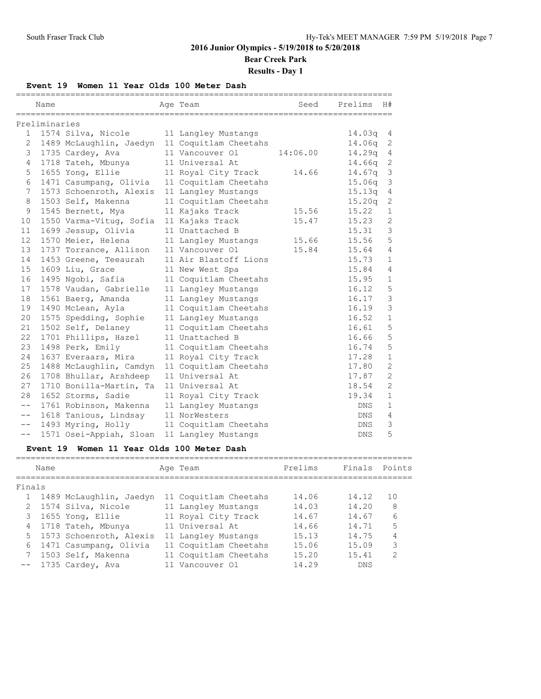**Bear Creek Park Results - Day 1**

**Event 19 Women 11 Year Olds 100 Meter Dash**

|                   | Name          |                         | Age Team              | Seed     | Prelims    | H#             |
|-------------------|---------------|-------------------------|-----------------------|----------|------------|----------------|
|                   | Preliminaries |                         |                       |          |            |                |
| $1 \quad$         |               | 1574 Silva, Nicole      | 11 Langley Mustangs   |          | $14.03q$ 4 |                |
| 2                 |               | 1489 McLaughlin, Jaedyn | 11 Coquitlam Cheetahs |          | 14.06q 2   |                |
| 3                 |               | 1735 Cardey, Ava        | 11 Vancouver Ol       | 14:06.00 | $14.29q$ 4 |                |
| 4                 |               | 1718 Tateh, Mbunya      | 11 Universal At       |          | 14.66q 2   |                |
| 5                 |               | 1655 Yong, Ellie        | 11 Royal City Track   | 14.66    | $14.67q$ 3 |                |
| 6                 |               | 1471 Casumpang, Olivia  | 11 Coquitlam Cheetahs |          | 15.06q 3   |                |
| 7                 |               | 1573 Schoenroth, Alexis | 11 Langley Mustangs   |          | 15.13q 4   |                |
| 8                 |               | 1503 Self, Makenna      | 11 Coquitlam Cheetahs |          | 15.20q     | 2              |
| 9                 |               | 1545 Bernett, Mya       | 11 Kajaks Track       | 15.56    | 15.22      | 1              |
| 10                |               | 1550 Varma-Vitug, Sofia | 11 Kajaks Track       | 15.47    | 15.23      | 2              |
| 11                |               | 1699 Jessup, Olivia     | 11 Unattached B       |          | 15.31      | 3              |
| $12 \overline{ }$ |               | 1570 Meier, Helena      | 11 Langley Mustangs   | 15.66    | 15.56      | 5              |
| 13                |               | 1737 Torrance, Allison  | 11 Vancouver Ol       | 15.84    | 15.64      | 4              |
| 14                |               | 1453 Greene, Teeaurah   | 11 Air Blastoff Lions |          | 15.73      | $\mathbf{1}$   |
| 15                |               | 1609 Liu, Grace         | 11 New West Spa       |          | 15.84      | 4              |
| 16                |               | 1495 Ngobi, Safia       | 11 Coquitlam Cheetahs |          | 15.95      | $\mathbf{1}$   |
| 17                |               | 1578 Vaudan, Gabrielle  | 11 Langley Mustangs   |          | 16.12      | 5              |
| 18                |               | 1561 Baerg, Amanda      | 11 Langley Mustangs   |          | 16.17      | 3              |
| 19                |               | 1490 McLean, Ayla       | 11 Coquitlam Cheetahs |          | 16.19      | $\mathbf{3}$   |
| 20                |               | 1575 Spedding, Sophie   | 11 Langley Mustangs   |          | 16.52      | $\mathbf{1}$   |
| 21                |               | 1502 Self, Delaney      | 11 Coquitlam Cheetahs |          | 16.61      | 5              |
| 22                |               | 1701 Phillips, Hazel    | 11 Unattached B       |          | 16.66      | 5              |
| 23                |               | 1498 Perk, Emily        | 11 Coquitlam Cheetahs |          | 16.74      | 5              |
| 24                |               | 1637 Everaars, Mira     | 11 Royal City Track   |          | 17.28      | $\mathbf{1}$   |
| 25                |               | 1488 McLaughlin, Camdyn | 11 Coquitlam Cheetahs |          | 17.80      | $\overline{2}$ |
| 26                |               | 1708 Bhullar, Arshdeep  | 11 Universal At       |          | 17.87      | 2              |
| 27                |               | 1710 Bonilla-Martin, Ta | 11 Universal At       |          | 18.54      | 2              |
| 28                |               | 1652 Storms, Sadie      | 11 Royal City Track   |          | 19.34      | $\mathbf{1}$   |
| $- \, -$          |               | 1761 Robinson, Makenna  | 11 Langley Mustangs   |          | DNS        | $\mathbf{1}$   |
| $\qquad \qquad -$ |               | 1618 Tanious, Lindsay   | 11 NorWesters         |          | DNS        | 4              |
| $- -$             |               | 1493 Myring, Holly      | 11 Coquitlam Cheetahs |          | DNS        | 3              |
| $- -$             |               | 1571 Osei-Appiah, Sloan | 11 Langley Mustangs   |          | DNS        | 5              |

# **Event 19 Women 11 Year Olds 100 Meter Dash**

|                | Name |                           | Age Team              | Prelims | Finals     | Points        |
|----------------|------|---------------------------|-----------------------|---------|------------|---------------|
| Finals         |      |                           |                       |         |            |               |
|                |      | 1489 McLaughlin, Jaedyn   | 11 Coquitlam Cheetahs | 14.06   | 14.12      | 10            |
| $\overline{2}$ |      | 1574 Silva, Nicole        | 11 Langley Mustangs   | 14.03   | 14.20      | 8             |
| 3              |      | 1655 Yong, Ellie          | 11 Royal City Track   | 14.67   | 14.67      | 6             |
| 4              |      | 1718 Tateh, Mbunya        | 11 Universal At       | 14.66   | 14.71      | 5             |
|                |      | 5 1573 Schoenroth, Alexis | 11 Langley Mustangs   | 15.13   | 14.75      | 4             |
| 6              |      | 1471 Casumpang, Olivia    | 11 Coquitlam Cheetahs | 15.06   | 15.09      | 3             |
| 7              |      | 1503 Self, Makenna        | 11 Coquitlam Cheetahs | 15.20   | 15.41      | $\mathcal{P}$ |
|                |      | 1735 Cardey, Ava          | 11 Vancouver Ol       | 14.29   | <b>DNS</b> |               |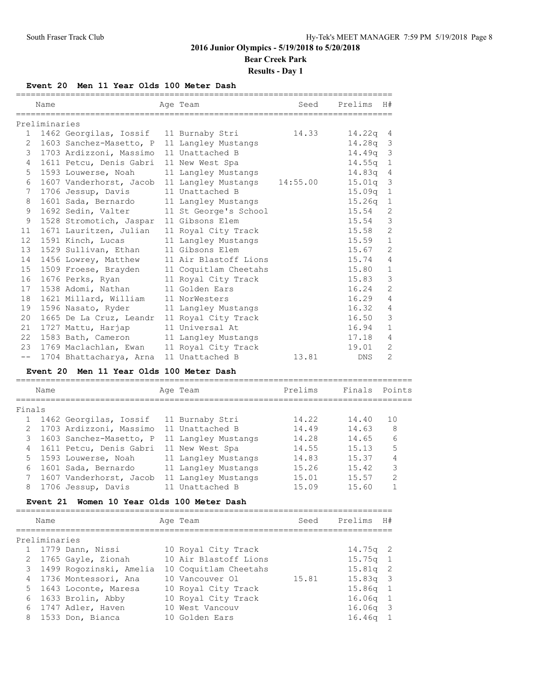# **Bear Creek Park**

**Results - Day 1**

# **Event 20 Men 11 Year Olds 100 Meter Dash**

|                 | Name<br>:======== | =======================                     | Age Team                                             | Seed  | Prelims            | H#             |
|-----------------|-------------------|---------------------------------------------|------------------------------------------------------|-------|--------------------|----------------|
|                 | Preliminaries     |                                             |                                                      |       |                    |                |
| $\mathbf{1}$    |                   | 1462 Georgilas, Iossif 11 Burnaby Stri      |                                                      | 14.33 | 14.22q 4           |                |
| $\overline{2}$  |                   | 1603 Sanchez-Masetto, P 11 Langley Mustangs |                                                      |       | 14.28q             | 3              |
| 3               |                   | 1703 Ardizzoni, Massimo 11 Unattached B     |                                                      |       | 14.49q 3           |                |
| $4\overline{ }$ |                   | 1611 Petcu, Denis Gabri 11 New West Spa     |                                                      |       | $14.55q$ 1         |                |
| 5               |                   | 1593 Louwerse, Noah                         | 11 Langley Mustangs                                  |       | 14.83a             | 4              |
| 6               |                   |                                             | 1607 Vanderhorst, Jacob 11 Langley Mustangs 14:55.00 |       | $15.01q$ 3         |                |
| 7               |                   | 1706 Jessup, Davis                          | 11 Unattached B                                      |       | $15.09q$ 1         |                |
| 8               |                   | 1601 Sada, Bernardo                         | 11 Langley Mustangs                                  |       | 15.26 <sub>q</sub> | $\mathbf{1}$   |
| 9               |                   | 1692 Sedin, Valter 11 St George's School    |                                                      |       | 15.54              | 2              |
| 9               |                   | 1528 Stromotich, Jaspar 11 Gibsons Elem     |                                                      |       | 15.54              | 3              |
| 11              |                   | 1671 Lauritzen, Julian 11 Royal City Track  |                                                      |       | 15.58              | $\overline{2}$ |
| 12              |                   | 1591 Kinch, Lucas                           | 11 Langley Mustangs                                  |       | 15.59              | $\mathbf{1}$   |
| 13              |                   | 1529 Sullivan, Ethan                        | 11 Gibsons Elem                                      |       | 15.67              | $\overline{2}$ |
| 14              |                   | 1456 Lowrey, Matthew                        | 11 Air Blastoff Lions                                |       | 15.74              | 4              |
| 15              |                   | 1509 Froese, Brayden                        | 11 Coquitlam Cheetahs                                |       | 15.80              | $\mathbf{1}$   |
| 16              |                   | 1676 Perks, Ryan                            | 11 Royal City Track                                  |       | 15.83              | $\mathbf{3}$   |
| 17              |                   | 1538 Adomi, Nathan                          | 11 Golden Ears                                       |       | 16.24              | $\overline{2}$ |
| 18              |                   | 1621 Millard, William                       | 11 NorWesters                                        |       | 16.29              | $\overline{4}$ |
| 19              |                   | 1596 Nasato, Ryder                          | 11 Langley Mustangs                                  |       | 16.32              | 4              |
| 20              |                   | 1665 De La Cruz, Leandr                     | 11 Royal City Track                                  |       | 16.50              | $\mathbf{3}$   |
| 21              |                   | 1727 Mattu, Harjap                          | 11 Universal At                                      |       | 16.94              | $\mathbf{1}$   |
| 22              |                   | 1583 Bath, Cameron 11 Langley Mustangs      |                                                      |       | 17.18              | 4              |
| 23              |                   | 1769 Maclachlan, Ewan 11 Royal City Track   |                                                      |       | 19.01              | $\overline{2}$ |
| $- -$           |                   | 1704 Bhattacharya, Arna 11 Unattached B     |                                                      | 13.81 | <b>DNS</b>         | $\overline{2}$ |

# **Event 20 Men 11 Year Olds 100 Meter Dash**

|        | Name |                         | Age Team            | Prelims | Finals | Points        |
|--------|------|-------------------------|---------------------|---------|--------|---------------|
| Finals |      |                         |                     |         |        |               |
|        |      | 1462 Georgilas, Iossif  | 11 Burnaby Stri     | 14.22   | 14.40  | 1 O           |
| 2      |      | 1703 Ardizzoni, Massimo | 11 Unattached B     | 14.49   | 14.63  | 8             |
| 3      |      | 1603 Sanchez-Masetto, P | 11 Langley Mustangs | 14.28   | 14.65  | 6             |
| 4      |      | 1611 Petcu, Denis Gabri | 11 New West Spa     | 14.55   | 15.13  | 5             |
|        |      | 5 1593 Louwerse, Noah   | 11 Langley Mustangs | 14.83   | 15.37  | 4             |
| 6      |      | 1601 Sada, Bernardo     | 11 Langley Mustangs | 15.26   | 15.42  | 3             |
|        |      | 1607 Vanderhorst, Jacob | 11 Langley Mustangs | 15.01   | 15.57  | $\mathcal{D}$ |
| 8      |      | 1706 Jessup, Davis      | 11 Unattached B     | 15.09   | 15.60  |               |

## **Event 21 Women 10 Year Olds 100 Meter Dash**

|   | Name                      | Age Team              | Seed  | Prelims    | H# |
|---|---------------------------|-----------------------|-------|------------|----|
|   | Preliminaries             |                       |       |            |    |
|   | 1 1779 Dann, Nissi        | 10 Royal City Track   |       | $14.75q$ 2 |    |
| 2 | 1765 Gayle, Zionah        | 10 Air Blastoff Lions |       | $15.75q$ 1 |    |
|   | 3 1499 Rogozinski, Amelia | 10 Coquitlam Cheetahs |       | $15.81q$ 2 |    |
|   | 4 1736 Montessori, Ana    | 10 Vancouver Ol       | 15.81 | $15.83q$ 3 |    |
|   | 5 1643 Loconte, Maresa    | 10 Royal City Track   |       | $15.86q$ 1 |    |
| 6 | 1633 Brolin, Abby         | 10 Royal City Track   |       | $16.06q$ 1 |    |
| 6 | 1747 Adler, Haven         | 10 West Vancouv       |       | $16.06q$ 3 |    |
|   | 8 1533 Don, Bianca        | 10 Golden Ears        |       | $16.46q$ 1 |    |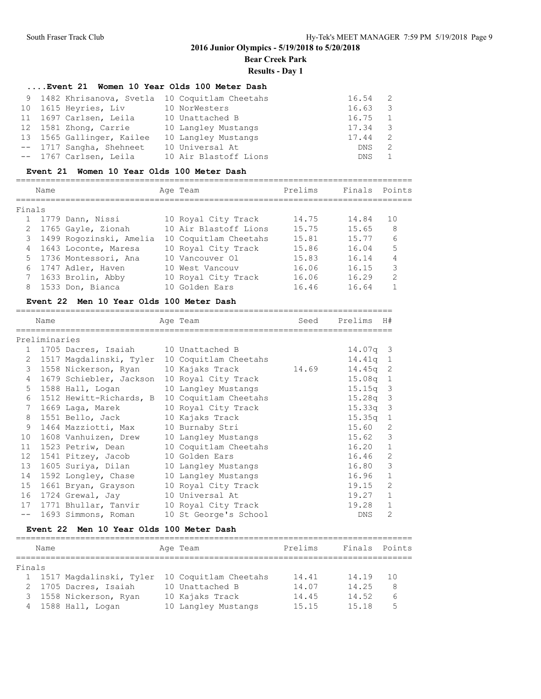**Bear Creek Park**

**Results - Day 1**

============================================================================

# **....Event 21 Women 10 Year Olds 100 Meter Dash**

| 9 1482 Khrisanova, Svetla 10 Coquitlam Cheetahs |                       | 16.54 2 |                          |
|-------------------------------------------------|-----------------------|---------|--------------------------|
| 10 1615 Heyries, Liv                            | 10 NorWesters         | 16.63   | $\overline{\phantom{a}}$ |
| 11 1697 Carlsen, Leila                          | 10 Unattached B       | 16.75   |                          |
| 12 1581 Zhong, Carrie                           | 10 Langley Mustangs   | 17.34   | - 3                      |
| 13 1565 Gallinger, Kailee                       | 10 Langley Mustangs   | 17.44   |                          |
| -- 1717 Sangha, Shehneet                        | 10 Universal At       | DNS.    | - 2                      |
| -- 1767 Carlsen, Leila                          | 10 Air Blastoff Lions | DNS.    |                          |

#### **Event 21 Women 10 Year Olds 100 Meter Dash**

|                 | Name |                           | Age Team              | Prelims | Finals Points |               |
|-----------------|------|---------------------------|-----------------------|---------|---------------|---------------|
| Finals          |      |                           |                       |         |               |               |
|                 |      | 1 1779 Dann, Nissi        | 10 Royal City Track   | 14.75   | 14.84         | 1 O           |
| 2               |      | 1765 Gayle, Zionah        | 10 Air Blastoff Lions | 15.75   | 15.65         | 8             |
|                 |      | 3 1499 Rogozinski, Amelia | 10 Coquitlam Cheetahs | 15.81   | 15.77         | 6             |
| 4               |      | 1643 Loconte, Maresa      | 10 Royal City Track   | 15.86   | 16.04         | 5             |
|                 |      | 5 1736 Montessori, Ana    | 10 Vancouver Ol       | 15.83   | 16.14         | 4             |
|                 |      | 6 1747 Adler, Haven       | 10 West Vancouv       | 16.06   | 16.15         | 3             |
| $7\phantom{.0}$ |      | 1633 Brolin, Abby         | 10 Royal City Track   | 16.06   | 16.29         | $\mathcal{D}$ |
| 8               |      | 1533 Don, Bianca          | 10 Golden Ears        | 16.46   | 16.64         |               |

# **Event 22 Men 10 Year Olds 100 Meter Dash**

|              | Name          |                                             | Age Team                                      | Seed  | Prelims H#   |                |
|--------------|---------------|---------------------------------------------|-----------------------------------------------|-------|--------------|----------------|
|              | Preliminaries |                                             |                                               |       |              |                |
| $\mathbf{1}$ |               | 1705 Dacres, Isaiah 10 Unattached B         |                                               |       | $14.07q$ 3   |                |
| 2            |               |                                             | 1517 Magdalinski, Tyler 10 Coquitlam Cheetahs |       | $14.41q$ 1   |                |
| 3            |               | 1558 Nickerson, Ryan                        | 10 Kajaks Track                               | 14.69 | $14.45q$ 2   |                |
| 4            |               | 1679 Schiebler, Jackson 10 Royal City Track |                                               |       | $15.08q$ 1   |                |
|              |               | 5 1588 Hall, Logan                          | 10 Langley Mustangs                           |       | $15.15q$ 3   |                |
| 6            |               | 1512 Hewitt-Richards, B                     | 10 Coquitlam Cheetahs                         |       | $15.28q$ 3   |                |
| 7            |               | 1669 Laqa, Marek                            | 10 Royal City Track                           |       | $15.33q - 3$ |                |
| 8            |               | 1551 Bello, Jack 10 Kajaks Track            |                                               |       | $15.35q$ 1   |                |
| 9            |               | 1464 Mazziotti, Max 10 Burnaby Stri         |                                               |       | 15.60        | 2              |
| 10           |               | 1608 Vanhuizen, Drew 10 Langley Mustangs    |                                               |       | 15.62        | 3              |
| 11           |               | 1523 Petriw, Dean                           | 10 Coquitlam Cheetahs                         |       | 16.20        | $\mathbf{1}$   |
| 12           |               | 1541 Pitzey, Jacob                          | 10 Golden Ears                                |       | 16.46        | 2              |
| 13           |               | 1605 Suriya, Dilan                          | 10 Langley Mustangs                           |       | 16.80        | 3              |
| 14           |               | 1592 Longley, Chase                         | 10 Langley Mustangs                           |       | 16.96        | $\mathbf{1}$   |
| 15           |               | 1661 Bryan, Grayson 10 Royal City Track     |                                               |       | 19.15        | 2              |
|              |               | 16 1724 Grewal, Jay                         | 10 Universal At                               |       | 19.27        | $\mathbf{1}$   |
|              |               | 17 1771 Bhullar, Tanvir                     | 10 Royal City Track                           |       | 19.28        | $\mathbf{1}$   |
| $- -$        |               | 1693 Simmons, Roman                         | 10 St George's School                         |       | <b>DNS</b>   | $\mathfrak{D}$ |

#### **Event 22 Men 10 Year Olds 100 Meter Dash**

|        | Name |                           |  | Age Team              | Prelims | Finals Points |     |  |  |
|--------|------|---------------------------|--|-----------------------|---------|---------------|-----|--|--|
|        |      |                           |  |                       |         |               |     |  |  |
| Finals |      |                           |  |                       |         |               |     |  |  |
|        |      | 1 1517 Magdalinski, Tyler |  | 10 Coquitlam Cheetahs | 14.41   | 14.19         | 1 O |  |  |
|        |      | 2 1705 Dacres, Isaiah     |  | 10 Unattached B       | 14.07   | 14.25         | 8   |  |  |
|        |      | 3 1558 Nickerson, Ryan    |  | 10 Kajaks Track       | 14.45   | 14.52         | 6   |  |  |
|        |      | 4 1588 Hall, Logan        |  | 10 Langley Mustangs   | 15.15   | 15.18         | 5   |  |  |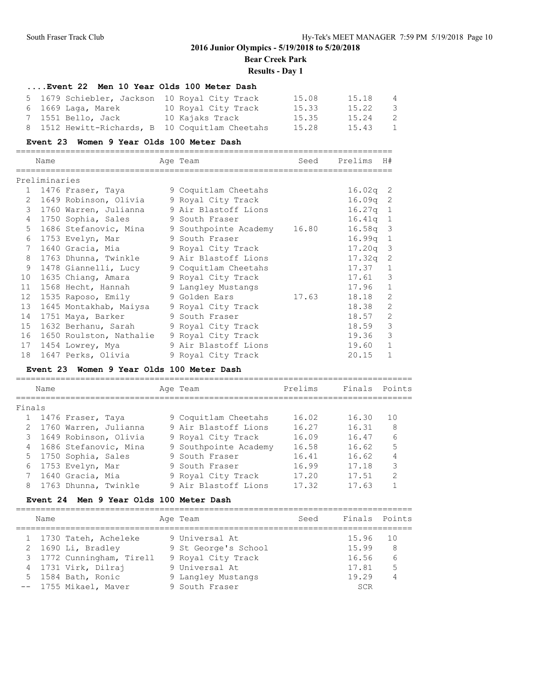**Bear Creek Park**

## **Results - Day 1**

# **....Event 22 Men 10 Year Olds 100 Meter Dash**

| 5 1679 Schiebler, Jackson 10 Royal City Track   |                     | 15.08 | 15.18 | $\overline{4}$ |
|-------------------------------------------------|---------------------|-------|-------|----------------|
| 6 1669 Laga, Marek                              | 10 Royal City Track | 15.33 | 15.22 | - 3            |
| 7 1551 Bello, Jack                              | 10 Kajaks Track     | 15.35 | 15.24 | 2              |
| 8 1512 Hewitt-Richards, B 10 Coquitlam Cheetahs |                     | 15.28 | 15.43 | $\mathbf{1}$   |
|                                                 |                     |       |       |                |

### **Event 23 Women 9 Year Olds 100 Meter Dash**

|              | Name          |                         |  | Age Team                    | Seed  | Prelims    | H#             |
|--------------|---------------|-------------------------|--|-----------------------------|-------|------------|----------------|
|              |               |                         |  |                             |       |            |                |
|              | Preliminaries |                         |  |                             |       |            |                |
|              |               | 1 1476 Fraser, Taya     |  | 9 Coquitlam Cheetahs        |       | $16.02q$ 2 |                |
| $\mathbf{2}$ |               | 1649 Robinson, Olivia   |  | 9 Royal City Track          |       | $16.09q$ 2 |                |
|              |               | 3 1760 Warren, Julianna |  | 9 Air Blastoff Lions        |       | $16.27q$ 1 |                |
|              |               | 4 1750 Sophia, Sales    |  | 9 South Fraser              |       | $16.41q$ 1 |                |
|              |               | 5 1686 Stefanovic, Mina |  | 9 Southpointe Academy 16.80 |       | $16.58q$ 3 |                |
| 6            |               | 1753 Evelyn, Mar        |  | 9 South Fraser              |       | $16.99q$ 1 |                |
| $7^{\circ}$  |               | 1640 Gracia, Mia        |  | 9 Royal City Track          |       | $17.20q$ 3 |                |
|              |               | 8 1763 Dhunna, Twinkle  |  | 9 Air Blastoff Lions        |       | 17.32a     | -2             |
| 9            |               | 1478 Giannelli, Lucy    |  | 9 Coquitlam Cheetahs        |       | 17.37      | $\mathbf{1}$   |
| 10           |               | 1635 Chiang, Amara      |  | 9 Royal City Track          |       | 17.61      | 3              |
| 11           |               | 1568 Hecht, Hannah      |  | 9 Langley Mustangs          |       | 17.96      | $\mathbf{1}$   |
| 12           |               | 1535 Raposo, Emily      |  | 9 Golden Ears               | 17.63 | 18.18      | $\overline{2}$ |
| 13           |               | 1645 Montakhab, Maiysa  |  | 9 Royal City Track          |       | 18.38      | 2              |
| 14           |               | 1751 Maya, Barker       |  | 9 South Fraser              |       | 18.57      | $\overline{2}$ |
| 15           |               | 1632 Berhanu, Sarah     |  | 9 Royal City Track          |       | 18.59      | 3              |
| 16           |               | 1650 Roulston, Nathalie |  | 9 Royal City Track          |       | 19.36      | 3              |
| 17           |               | 1454 Lowrey, Mya        |  | 9 Air Blastoff Lions        |       | 19.60      | $\mathbf{1}$   |
|              |               | 18 1647 Perks, Olivia   |  | 9 Royal City Track          |       | 20.15      | 1              |

# **Event 23 Women 9 Year Olds 100 Meter Dash**

|               | Name                  | Age Team              | Prelims | Finals | Points        |
|---------------|-----------------------|-----------------------|---------|--------|---------------|
| Finals        |                       |                       |         |        |               |
|               | 1 1476 Fraser, Taya   | 9 Coquitlam Cheetahs  | 16.02   | 16.30  | 10            |
| $\mathcal{L}$ | 1760 Warren, Julianna | 9 Air Blastoff Lions  | 16.27   | 16.31  | 8             |
| 3             | 1649 Robinson, Olivia | 9 Royal City Track    | 16.09   | 16.47  | 6             |
| 4             | 1686 Stefanovic, Mina | 9 Southpointe Academy | 16.58   | 16.62  | 5             |
|               | 5 1750 Sophia, Sales  | 9 South Fraser        | 16.41   | 16.62  |               |
| 6             | 1753 Evelyn, Mar      | 9 South Fraser        | 16.99   | 17.18  | 3             |
| 7             | 1640 Gracia, Mia      | 9 Royal City Track    | 17.20   | 17.51  | $\mathcal{D}$ |
| 8             | 1763 Dhunna, Twinkle  | 9 Air Blastoff Lions  | 17.32   | 17.63  |               |

## **Event 24 Men 9 Year Olds 100 Meter Dash**

| Name                      | Age Team             | Seed | Finals Points |     |
|---------------------------|----------------------|------|---------------|-----|
| 1 1730 Tateh, Acheleke    | 9 Universal At       |      | 15.96         | -10 |
| 2 1690 Li, Bradley        | 9 St George's School |      | 15.99         | 8   |
| 3 1772 Cunningham, Tirell | 9 Royal City Track   |      | 16.56         | 6   |
| 4 1731 Virk, Dilraj       | 9 Universal At       |      | 17.81         | 5   |
| 5 1584 Bath, Ronic        | 9 Langley Mustangs   |      | 19.29         |     |
| -- 1755 Mikael, Maver     | 9 South Fraser       |      | SCR           |     |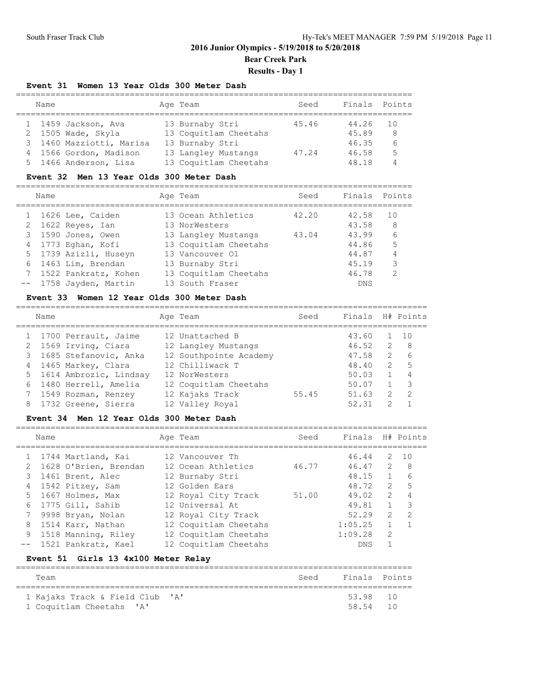**Bear Creek Park**

# **Results - Day 1**

## **Event 31 Women 13 Year Olds 300 Meter Dash**

| Name                     |  | Age Team              | Seed  | Finals Points |     |  |  |  |  |
|--------------------------|--|-----------------------|-------|---------------|-----|--|--|--|--|
| 1459 Jackson, Ava        |  | 13 Burnaby Stri       | 45.46 | 44.26         | 1 O |  |  |  |  |
| 2 1505 Wade, Skyla       |  | 13 Coquitlam Cheetahs |       | 45.89         | 8   |  |  |  |  |
| 3 1460 Mazziotti, Marisa |  | 13 Burnaby Stri       |       | 46.35         | 6   |  |  |  |  |
| 4 1566 Gordon, Madison   |  | 13 Langley Mustangs   | 47.24 | 46.58         | 5   |  |  |  |  |
| 5 1466 Anderson, Lisa    |  | 13 Coquitlam Cheetahs |       | 48.18         | 4   |  |  |  |  |

#### **Event 32 Men 13 Year Olds 300 Meter Dash**

|   | Name                   | Age Team              | Seed  | Finals Points |               |
|---|------------------------|-----------------------|-------|---------------|---------------|
|   | 1626 Lee, Caiden       | 13 Ocean Athletics    | 42.20 | 42.58         | 10            |
|   | 1622 Reyes, Ian        | 13 NorWesters         |       | 43.58         | 8             |
| 3 | 1590 Jones, Owen       | 13 Langley Mustangs   | 43.04 | 43.99         | 6             |
|   | 1773 Eghan, Kofi       | 13 Coquitlam Cheetahs |       | 44.86         | 5             |
|   | 5 1739 Azizli, Huseyn  | 13 Vancouver Ol       |       | 44.87         | 4             |
| 6 | 1463 Lim, Brendan      | 13 Burnaby Stri       |       | 45.19         | 3             |
|   | 1522 Pankratz, Kohen   | 13 Coquitlam Cheetahs |       | 46.78         | $\mathcal{P}$ |
|   | -- 1758 Jayden, Martin | 13 South Fraser       |       | <b>DNS</b>    |               |

#### **Event 33 Women 12 Year Olds 300 Meter Dash**

|                | Name |                          | Age Team               | Seed  | Finals H# Points |               |                |
|----------------|------|--------------------------|------------------------|-------|------------------|---------------|----------------|
|                |      | 1 1700 Perrault, Jaime   | 12 Unattached B        |       | 43.60            |               | 10             |
|                |      | 1569 Irving, Ciara       | 12 Langley Mustangs    |       | 46.52            | 2             | - 8            |
|                |      | 1685 Stefanovic, Anka    | 12 Southpointe Academy |       | 47.58            | 2             | 6              |
| $\overline{4}$ |      | 1465 Markey, Clara       | 12 Chilliwack T        |       | 48.40            | $\mathcal{L}$ | 5              |
|                |      | 5 1614 Ambrozic, Lindsay | 12 NorWesters          |       | 50.03            |               | $\overline{4}$ |
| 6              |      | 1480 Herrell, Amelia     | 12 Coquitlam Cheetahs  |       | 50.07            |               | 3              |
| 7              |      | 1549 Rozman, Renzey      | 12 Kajaks Track        | 55.45 | 51.63            | $\mathcal{L}$ | $\overline{2}$ |
| 8              |      | 1732 Greene, Sierra      | 12 Valley Royal        |       | 52.31            |               |                |
|                |      |                          |                        |       |                  |               |                |

# **Event 34 Men 12 Year Olds 300 Meter Dash**

|    | Name                   | Age Team              | Seed  | Finals H# Points |               |               |
|----|------------------------|-----------------------|-------|------------------|---------------|---------------|
|    | 1744 Martland, Kai     | 12 Vancouver Th       |       | 46.44            | 2             | 10            |
| 2  | 1628 O'Brien, Brendan  | 12 Ocean Athletics    | 46.77 | 46.47            | $\mathcal{L}$ | 8             |
|    | 1461 Brent, Alec       | 12 Burnaby Stri       |       | 48.15            | $\mathbf{1}$  | 6             |
|    | 1542 Pitzey, Sam       | 12 Golden Ears        |       | 48.72            | $\mathcal{P}$ | 5             |
| 5. | 1667 Holmes, Max       | 12 Royal City Track   | 51.00 | 49.02            | $\mathcal{L}$ | 4             |
| 6  | 1775 Gill, Sahib       | 12 Universal At       |       | 49.81            | $\mathbf{1}$  | 3             |
|    | 9998 Bryan, Nolan      | 12 Royal City Track   |       | 52.29            | $\mathcal{L}$ | $\mathcal{P}$ |
| 8  | 1514 Karr, Nathan      | 12 Coquitlam Cheetahs |       | 1:05.25          |               |               |
| 9  | 1518 Manning, Riley    | 12 Coquitlam Cheetahs |       | 1:09.28          | 2             |               |
|    | -- 1521 Pankratz, Kael | 12 Coquitlam Cheetahs |       | <b>DNS</b>       |               |               |
|    |                        |                       |       |                  |               |               |

# **Event 51 Girls 13 4x100 Meter Relay**

| Team                            | Seed | Finals Points |  |
|---------------------------------|------|---------------|--|
|                                 |      |               |  |
| 1 Kajaks Track & Field Club 'A' |      | 53.98 10      |  |
| 1 Coquitlam Cheetahs 'A'        |      | 58.54 10      |  |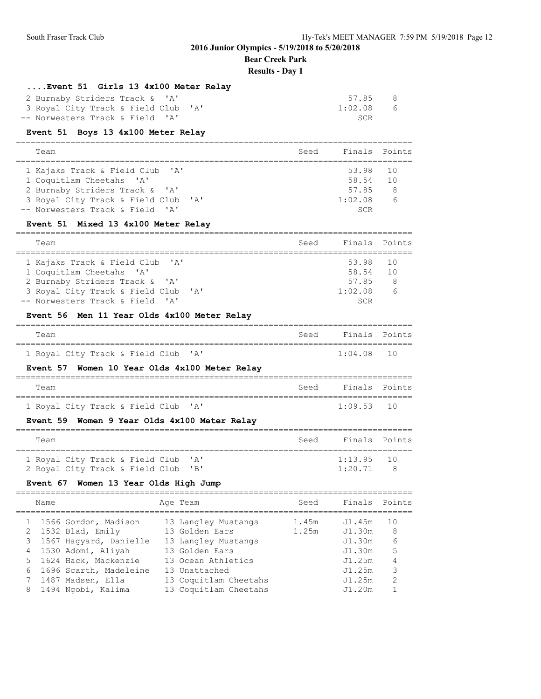**Bear Creek Park**

## **Results - Day 1**

# **....Event 51 Girls 13 4x100 Meter Relay**

| 2 Burnaby Striders Track & 'A'      |  | 57.85   | - 8 |
|-------------------------------------|--|---------|-----|
| 3 Royal City Track & Field Club 'A' |  | 1:02.08 | - 6 |

| 2 Burnaby Striders Track & 'A'      | 57.85 8        |  |
|-------------------------------------|----------------|--|
| 3 Royal City Track & Field Club 'A' | 1:02.08<br>- 6 |  |
| -- Norwesters Track & Field 'A'     | SCR            |  |

================================================================================

#### **Event 51 Boys 13 4x100 Meter Relay**

| Team                                | Seed | Finals Points |                |
|-------------------------------------|------|---------------|----------------|
| 1 Kajaks Track & Field Club 'A'     |      | 53.98 10      |                |
| 1 Coquitlam Cheetahs 'A'            |      | 58.54         | 10             |
| 2 Burnaby Striders Track & 'A'      |      | 57.85         | $\overline{8}$ |
| 3 Royal City Track & Field Club 'A' |      | 1:02.08       | $\sim$ 6       |
| -- Norwesters Track & Field 'A'     |      | SCR           |                |

## **Event 51 Mixed 13 4x100 Meter Relay**

| Team                                | Seed | Finals Points |     |
|-------------------------------------|------|---------------|-----|
|                                     |      |               |     |
| 1 Kajaks Track & Field Club 'A'     |      | 53.98 10      |     |
| 1 Coquitlam Cheetahs 'A'            |      | 58.54         | 10  |
| 2 Burnaby Striders Track & 'A'      |      | 57.85         | - 8 |
| 3 Royal City Track & Field Club 'A' |      | 1:02.08       | 6   |
| -- Norwesters Track & Field 'A'     |      | SCR           |     |

# **Event 56 Men 11 Year Olds 4x100 Meter Relay**

| Team |                                     |  | Seed Finals Points |  |
|------|-------------------------------------|--|--------------------|--|
|      |                                     |  |                    |  |
|      | 1 Royal City Track & Field Club 'A' |  | $1:04.08$ 10       |  |

#### **Event 57 Women 10 Year Olds 4x100 Meter Relay**

| Team                                | Seed Finals Points |
|-------------------------------------|--------------------|
|                                     |                    |
| 1 Royal City Track & Field Club 'A' | $1:09.53$ 10       |

#### **Event 59 Women 9 Year Olds 4x100 Meter Relay**

| Team                                | Seed Finals Points |  |
|-------------------------------------|--------------------|--|
| 1 Royal City Track & Field Club 'A' | $1:13.95$ 10       |  |
| 2 Royal City Track & Field Club 'B' | 1:20.71            |  |

#### **Event 67 Women 13 Year Olds High Jump**

|   | Name |                        | Age Team              | Seed  | Finals Points |               |
|---|------|------------------------|-----------------------|-------|---------------|---------------|
|   |      | 1 1566 Gordon, Madison | 13 Langley Mustangs   | 1.45m | J1.45m        | 10            |
|   |      | 2 1532 Blad, Emily     | 13 Golden Ears        | 1.25m | .T1 .30m      | 8             |
| 3 |      | 1567 Haqyard, Danielle | 13 Langley Mustangs   |       | J1.30m        | 6             |
|   |      | 4 1530 Adomi, Aliyah   | 13 Golden Ears        |       | J1.30m        | 5             |
|   |      | 5 1624 Hack, Mackenzie | 13 Ocean Athletics    |       | J1.25m        |               |
| 6 |      | 1696 Scarth, Madeleine | 13 Unattached         |       | J1.25m        | 3             |
|   |      | 7 1487 Madsen, Ella    | 13 Coquitlam Cheetahs |       | J1.25m        | $\mathcal{P}$ |
| 8 |      | 1494 Ngobi, Kalima     | 13 Coquitlam Cheetahs |       | J1.20m        |               |
|   |      |                        |                       |       |               |               |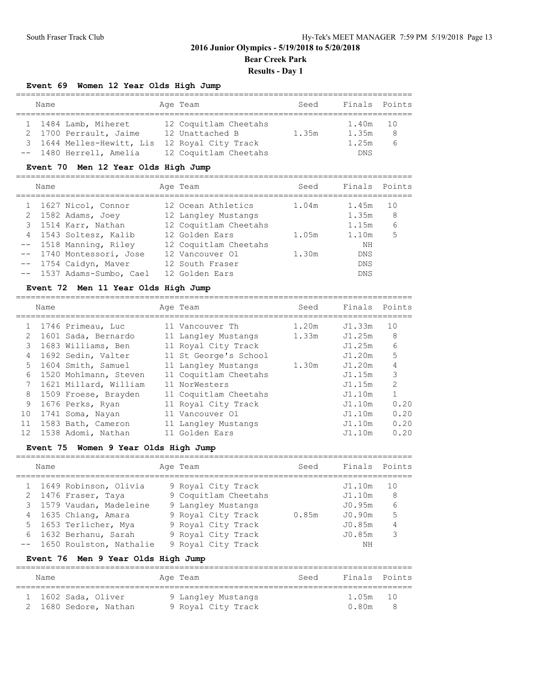# **Bear Creek Park**

# **Results - Day 1**

# **Event 69 Women 12 Year Olds High Jump**

| Name |                           | Age Team              | Seed  | Finals Points |    |
|------|---------------------------|-----------------------|-------|---------------|----|
|      |                           |                       |       |               |    |
|      | 1 1484 Lamb, Miheret      | 12 Coquitlam Cheetahs |       | 1.40m 10      |    |
|      | 2 1700 Perrault, Jaime    | 12 Unattached B       | 1.35m | 1.35m         | -8 |
|      | 3 1644 Melles-Hewitt, Lis | 12 Royal City Track   |       | 1.25m         | 6  |
|      | -- 1480 Herrell, Amelia   | 12 Coquitlam Cheetahs |       | <b>DNS</b>    |    |

#### **Event 70 Men 12 Year Olds High Jump**

| Name                     | Age Team              | Seed  | Finals Points |    |
|--------------------------|-----------------------|-------|---------------|----|
| 1 1627 Nicol, Connor     | 12 Ocean Athletics    | 1.04m | 1.45m         | 10 |
| 2 1582 Adams, Joey       | 12 Langley Mustangs   |       | 1.35m         | 8  |
| 3 1514 Karr, Nathan      | 12 Coquitlam Cheetahs |       | 1.15m         | 6  |
| 4 1543 Soltesz, Kalib    | 12 Golden Ears        | 1.05m | 1.10m         | 5  |
| -- 1518 Manning, Riley   | 12 Coquitlam Cheetahs |       | NΗ            |    |
| -- 1740 Montessori, Jose | 12 Vancouver Ol       | 1.30m | <b>DNS</b>    |    |

 -- 1754 Caidyn, Maver 12 South Fraser DNS -- 1537 Adams-Sumbo, Cael 12 Golden Ears DNS

#### **Event 72 Men 11 Year Olds High Jump**

| Name              |                       | Age Team | Seed                  | Finals | Points |                |
|-------------------|-----------------------|----------|-----------------------|--------|--------|----------------|
|                   | 1746 Primeau, Luc     |          | 11 Vancouver Th       | 1.20m  | J1.33m | 10             |
|                   | 1601 Sada, Bernardo   |          | 11 Langley Mustangs   | 1.33m  | J1.25m | 8              |
| 3                 | 1683 Williams, Ben    |          | 11 Royal City Track   |        | J1.25m | 6              |
| 4                 | 1692 Sedin, Valter    |          | 11 St George's School |        | J1.20m | 5              |
| 5                 | 1604 Smith, Samuel    |          | 11 Langley Mustangs   | 1.30m  | J1.20m | 4              |
| 6                 | 1520 Mohlmann, Steven |          | 11 Coquitlam Cheetahs |        | J1.15m | 3              |
| 7                 | 1621 Millard, William |          | 11 NorWesters         |        | J1.15m | $\overline{2}$ |
| 8                 | 1509 Froese, Brayden  |          | 11 Coquitlam Cheetahs |        | J1.10m |                |
| 9                 | 1676 Perks, Ryan      |          | 11 Royal City Track   |        | J1.10m | 0.20           |
| 10                | 1741 Soma, Nayan      |          | 11 Vancouver Ol       |        | J1.10m | 0.20           |
| 11                | 1583 Bath, Cameron    |          | 11 Langley Mustangs   |        | J1.10m | 0.20           |
| $12 \overline{ }$ | 1538 Adomi, Nathan    |          | 11 Golden Ears        |        | J1.10m | 0.20           |

# **Event 75 Women 9 Year Olds High Jump**

|   | Name                       | Age Team             | Seed  | Finals Points |    |
|---|----------------------------|----------------------|-------|---------------|----|
|   | 1649 Robinson, Olivia      | 9 Royal City Track   |       | J1.10m        | 10 |
|   | 2 1476 Fraser, Taya        | 9 Coquitlam Cheetahs |       | J1.10m        | 8  |
|   | 3 1579 Vaudan, Madeleine   | 9 Langley Mustangs   |       | J0.95m        | 6  |
| 4 | 1635 Chiang, Amara         | 9 Royal City Track   | 0.85m | J0.90m        | 5  |
| 5 | 1653 Terlicher, Mya        | 9 Royal City Track   |       | J0.85m        | 4  |
| 6 | 1632 Berhanu, Sarah        | 9 Royal City Track   |       | J0.85m        | 3  |
|   | -- 1650 Roulston, Nathalie | 9 Royal City Track   |       | NΗ            |    |

# **Event 76 Men 9 Year Olds High Jump**

| Name                                         | Age Team                                 | Seed | Finals Points     |  |
|----------------------------------------------|------------------------------------------|------|-------------------|--|
| 1 1602 Sada, Oliver<br>2 1680 Sedore, Nathan | 9 Langley Mustangs<br>9 Royal City Track |      | 1.05m 10<br>0.80m |  |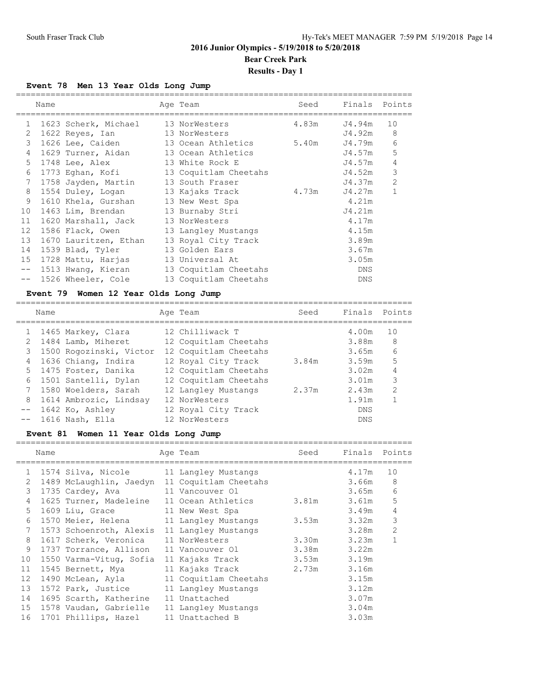# **Bear Creek Park Results - Day 1**

#### **Event 78 Men 13 Year Olds Long Jump**

|                   | Name |                       | Age Team              | Seed  | Finals Points |                |
|-------------------|------|-----------------------|-----------------------|-------|---------------|----------------|
| 1                 |      | 1623 Scherk, Michael  | 13 NorWesters         | 4.83m | J4.94m        | 10             |
| 2                 |      | 1622 Reyes, Ian       | 13 NorWesters         |       | J4.92m        | 8              |
| 3                 |      | 1626 Lee, Caiden      | 13 Ocean Athletics    | 5.40m | J4.79m        | 6              |
| $\overline{4}$    |      | 1629 Turner, Aidan    | 13 Ocean Athletics    |       | J4.57m        | 5              |
| 5                 |      | 1748 Lee, Alex        | 13 White Rock E       |       | J4.57m        | 4              |
| 6                 |      | 1773 Eghan, Kofi      | 13 Coquitlam Cheetahs |       | J4.52m        | 3              |
| 7                 |      | 1758 Jayden, Martin   | 13 South Fraser       |       | J4.37m        | $\overline{2}$ |
| 8                 |      | 1554 Duley, Logan     | 13 Kajaks Track       | 4.73m | J4.27m        | $\mathbf{1}$   |
| 9                 |      | 1610 Khela, Gurshan   | 13 New West Spa       |       | 4.21m         |                |
| 10                |      | 1463 Lim, Brendan     | 13 Burnaby Stri       |       | J4.21m        |                |
| 11                |      | 1620 Marshall, Jack   | 13 NorWesters         |       | 4.17m         |                |
| $12 \overline{ }$ |      | 1586 Flack, Owen      | 13 Langley Mustangs   |       | 4.15m         |                |
| 13                |      | 1670 Lauritzen, Ethan | 13 Royal City Track   |       | 3.89m         |                |
| 14                |      | 1539 Blad, Tyler      | 13 Golden Ears        |       | 3.67m         |                |
| 15                |      | 1728 Mattu, Harjas    | 13 Universal At       |       | 3.05m         |                |
| $--$              |      | 1513 Hwanq, Kieran    | 13 Coquitlam Cheetahs |       | DNS           |                |
|                   |      | -- 1526 Wheeler, Cole | 13 Coquitlam Cheetahs |       | <b>DNS</b>    |                |

#### **Event 79 Women 12 Year Olds Long Jump**

================================================================================ Name Age Team Seed Finals Points ================================================================================ 1 1465 Markey, Clara 12 Chilliwack T 4.00m 10 2 1484 Lamb, Miheret 12 Coquitlam Cheetahs 3.88m 8 3 1500 Rogozinski, Victor 12 Coquitlam Cheetahs 3.65m 6 4 1636 Chiang, Indira 12 Royal City Track 3.84m 3.59m 5 5 1475 Foster, Danika 12 Coquitlam Cheetahs 3.02m 4 6 1501 Santelli, Dylan 12 Coquitlam Cheetahs 3.01m 3 7 1580 Woelders, Sarah 12 Langley Mustangs 2.37m 2.43m 2 8 1614 Ambrozic, Lindsay 12 NorWesters 1.91m 1 -- 1642 Ko, Ashley 12 Royal City Track DNS -- 1616 Nash, Ella 12 NorWesters DNS

#### **Event 81 Women 11 Year Olds Long Jump**

|              | Name |                         | Age Team              | Seed              | Finals | Points         |
|--------------|------|-------------------------|-----------------------|-------------------|--------|----------------|
| $\mathbf{1}$ |      | 1574 Silva, Nicole      | 11 Langley Mustangs   |                   | 4.17m  | 10             |
| 2            |      | 1489 McLaughlin, Jaedyn | 11 Coquitlam Cheetahs |                   | 3.66m  | 8              |
| 3            |      | 1735 Cardey, Ava        | 11 Vancouver Ol       |                   | 3.65m  | 6              |
| 4            |      | 1625 Turner, Madeleine  | 11 Ocean Athletics    | 3.81 <sub>m</sub> | 3.61m  | 5              |
| 5            |      | 1609 Liu, Grace         | 11 New West Spa       |                   | 3.49m  | 4              |
| 6            |      | 1570 Meier, Helena      | 11 Langley Mustangs   | 3.53m             | 3.32m  | 3              |
| 7            |      | 1573 Schoenroth, Alexis | 11 Langley Mustangs   |                   | 3.28m  | $\overline{2}$ |
| 8            |      | 1617 Scherk, Veronica   | 11 NorWesters         | 3.30m             | 3.23m  |                |
| 9            |      | 1737 Torrance, Allison  | 11 Vancouver Ol       | 3.38m             | 3.22m  |                |
| 10           |      | 1550 Varma-Vituq, Sofia | 11 Kajaks Track       | 3.53m             | 3.19m  |                |
| 11           |      | 1545 Bernett, Mya       | 11 Kajaks Track       | 2.73m             | 3.16m  |                |
| 12           |      | 1490 McLean, Ayla       | 11 Coquitlam Cheetahs |                   | 3.15m  |                |
| 13           |      | 1572 Park, Justice      | 11 Langley Mustangs   |                   | 3.12m  |                |
| 14           |      | 1695 Scarth, Katherine  | 11 Unattached         |                   | 3.07m  |                |
| 15           |      | 1578 Vaudan, Gabrielle  | 11 Langley Mustangs   |                   | 3.04m  |                |
| 16           |      | 1701 Phillips, Hazel    | 11 Unattached B       |                   | 3.03m  |                |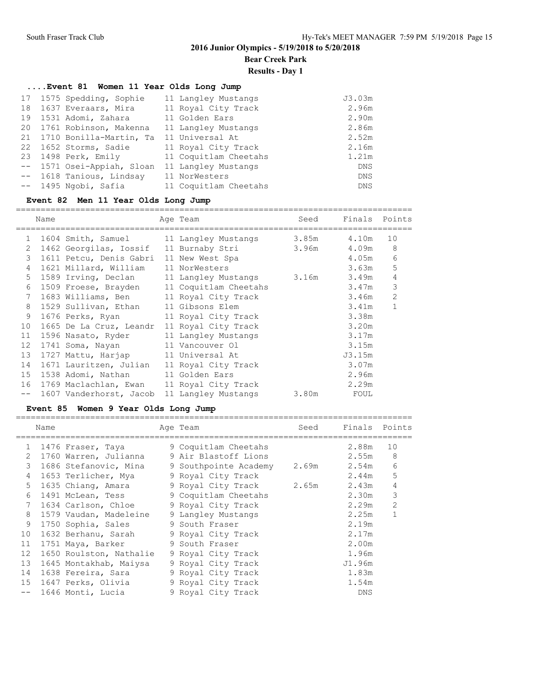**Bear Creek Park**

**Results - Day 1**

================================================================================

# **....Event 81 Women 11 Year Olds Long Jump**

| 17 1575 Spedding, Sophie   | 11 Langley Mustangs   | J3.03m     |
|----------------------------|-----------------------|------------|
| 18 1637 Everaars, Mira     | 11 Royal City Track   | 2.96m      |
| 19 1531 Adomi, Zahara      | 11 Golden Ears        | 2.90m      |
| 20 1761 Robinson, Makenna  | 11 Langley Mustangs   | 2.86m      |
| 21 1710 Bonilla-Martin, Ta | 11 Universal At       | 2.52m      |
| 22 1652 Storms, Sadie      | 11 Royal City Track   | 2.16m      |
| 23 1498 Perk, Emily        | 11 Coquitlam Cheetahs | 1.21m      |
| -- 1571 Osei-Appiah, Sloan | 11 Langley Mustangs   | <b>DNS</b> |
| -- 1618 Tanious, Lindsay   | 11 NorWesters         | DNS        |
| -- 1495 Ngobi, Safia       | 11 Coquitlam Cheetahs | <b>DNS</b> |

#### **Event 82 Men 11 Year Olds Long Jump**

================================================================================

|                   | Name |                         | Age Team              | Seed  | Finals | Points         |
|-------------------|------|-------------------------|-----------------------|-------|--------|----------------|
| $\mathbf{1}$      |      | 1604 Smith, Samuel      | 11 Langley Mustangs   | 3.85m | 4.10m  | 10             |
| $\mathcal{L}$     |      | 1462 Georgilas, Iossif  | 11 Burnaby Stri       | 3.96m | 4.09m  | 8              |
| 3                 |      | 1611 Petcu, Denis Gabri | 11 New West Spa       |       | 4.05m  | 6              |
| 4                 |      | 1621 Millard, William   | 11 NorWesters         |       | 3.63m  | 5              |
| 5                 |      | 1589 Irving, Declan     | 11 Langley Mustangs   | 3.16m | 3.49m  | 4              |
| 6                 |      | 1509 Froese, Brayden    | 11 Coquitlam Cheetahs |       | 3.47m  | 3              |
| 7                 |      | 1683 Williams, Ben      | 11 Royal City Track   |       | 3.46m  | $\overline{2}$ |
| 8                 |      | 1529 Sullivan, Ethan    | 11 Gibsons Elem       |       | 3.41m  | 1              |
| 9                 |      | 1676 Perks, Ryan        | 11 Royal City Track   |       | 3.38m  |                |
| 10                |      | 1665 De La Cruz, Leandr | 11 Royal City Track   |       | 3.20m  |                |
| 11                |      | 1596 Nasato, Ryder      | 11 Langley Mustangs   |       | 3.17m  |                |
| $12 \overline{ }$ |      | 1741 Soma, Nayan        | 11 Vancouver Ol       |       | 3.15m  |                |
| 13                |      | 1727 Mattu, Harjap      | 11 Universal At       |       | J3.15m |                |
| 14                |      | 1671 Lauritzen, Julian  | 11 Royal City Track   |       | 3.07m  |                |
| 15                |      | 1538 Adomi, Nathan      | 11 Golden Ears        |       | 2.96m  |                |
| 16                |      | 1769 Maclachlan, Ewan   | 11 Royal City Track   |       | 2.29m  |                |
|                   |      | 1607 Vanderhorst, Jacob | 11 Langley Mustangs   | 3.80m | FOUL   |                |

# **Event 85 Women 9 Year Olds Long Jump**

|               | Name                    | Age Team              | Seed  | Finals Points |                |
|---------------|-------------------------|-----------------------|-------|---------------|----------------|
| $\mathbf{1}$  | 1476 Fraser, Taya       | 9 Coquitlam Cheetahs  |       | 2.88m         | 10             |
| $\mathcal{L}$ | 1760 Warren, Julianna   | 9 Air Blastoff Lions  |       | 2.55m         | 8              |
| 3             | 1686 Stefanovic, Mina   | 9 Southpointe Academy | 2.69m | 2.54m         | 6              |
| 4             | 1653 Terlicher, Mya     | 9 Royal City Track    |       | 2.44m         | 5              |
| 5             | 1635 Chiang, Amara      | 9 Royal City Track    | 2.65m | 2.43m         | 4              |
| 6             | 1491 McLean, Tess       | 9 Coquitlam Cheetahs  |       | 2.30m         | 3              |
| 7             | 1634 Carlson, Chloe     | 9 Royal City Track    |       | 2.29m         | $\overline{2}$ |
| 8             | 1579 Vaudan, Madeleine  | 9 Langley Mustangs    |       | 2.25m         | 1              |
| 9             | 1750 Sophia, Sales      | 9 South Fraser        |       | 2.19m         |                |
| 10            | 1632 Berhanu, Sarah     | 9 Royal City Track    |       | 2.17m         |                |
| 11            | 1751 Maya, Barker       | 9 South Fraser        |       | 2.00m         |                |
| 12            | 1650 Roulston, Nathalie | 9 Royal City Track    |       | 1.96m         |                |
| 13            | 1645 Montakhab, Maiysa  | 9 Royal City Track    |       | J1.96m        |                |
| 14            | 1638 Fereira, Sara      | 9 Royal City Track    |       | 1.83m         |                |
| 15            | 1647 Perks, Olivia      | 9 Royal City Track    |       | 1.54m         |                |
|               | 1646 Monti, Lucia       | 9 Royal City Track    |       | DNS           |                |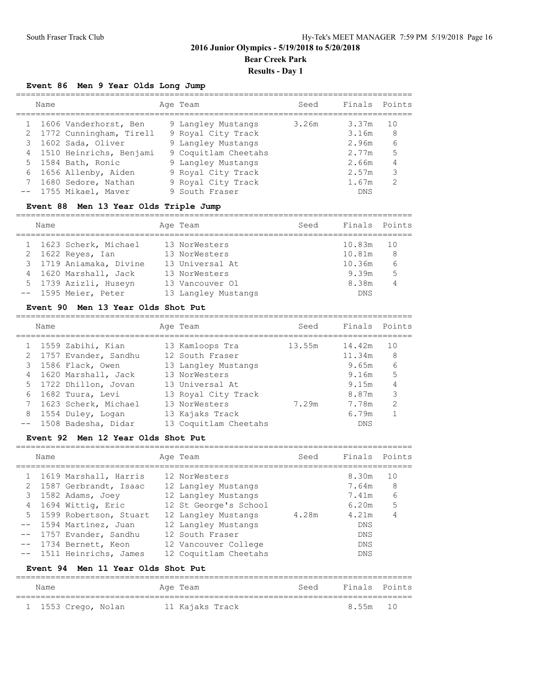**Bear Creek Park**

# **Results - Day 1**

#### **Event 86 Men 9 Year Olds Long Jump**

| Name |                         | Age Team             | Seed  | Finals Points |    |
|------|-------------------------|----------------------|-------|---------------|----|
|      | 1606 Vanderhorst, Ben   | 9 Langley Mustangs   | 3.26m | 3.37m         | 10 |
|      | 1772 Cunningham, Tirell | 9 Royal City Track   |       | 3.16m         | 8  |
|      | 1602 Sada, Oliver       | 9 Langley Mustangs   |       | 2.96m         | 6  |
|      | 1510 Heinrichs, Benjami | 9 Coquitlam Cheetahs |       | 2.77m         | 5  |
|      | 5 1584 Bath, Ronic      | 9 Langley Mustangs   |       | 2.66m         |    |
| 6    | 1656 Allenby, Aiden     | 9 Royal City Track   |       | 2.57m         | 3  |
|      | 1680 Sedore, Nathan     | 9 Royal City Track   |       | 1.67m         | 2  |
|      | -- 1755 Mikael, Maver   | 9 South Fraser       |       | <b>DNS</b>    |    |
|      |                         |                      |       |               |    |

#### **Event 88 Men 13 Year Olds Triple Jump**

================================================================================ Name **Age Team** Seed Finals Points Name ================================================================================ 1 1623 Scherk, Michael 13 NorWesters 10.83m 10 2 1622 Reyes, Ian 13 NorWesters 10.81m 8 3 1719 Aniamaka, Divine 13 Universal At 10.36m 6 4 1620 Marshall, Jack 13 NorWesters 9.39m 5 5 1739 Azizli, Huseyn 13 Vancouver Ol 8.38m 4 -- 1595 Meier, Peter 13 Langley Mustangs DNS

#### **Event 90 Men 13 Year Olds Shot Put**

|   | Name |                        | Age Team              | Seed   | Finals Points |                |
|---|------|------------------------|-----------------------|--------|---------------|----------------|
|   |      | 1559 Zabihi, Kian      | 13 Kamloops Tra       | 13.55m | 14.42m        | 1 O            |
|   |      | 2 1757 Evander, Sandhu | 12 South Fraser       |        | 11.34m        | 8              |
|   |      | 3 1586 Flack, Owen     | 13 Langley Mustangs   |        | 9.65m         | 6              |
|   |      | 1620 Marshall, Jack    | 13 NorWesters         |        | 9.16m         | 5              |
| 5 |      | 1722 Dhillon, Jovan    | 13 Universal At       |        | 9.15m         | 4              |
| 6 |      | 1682 Tuura, Levi       | 13 Royal City Track   |        | 8.87m         | 3              |
|   |      | 1623 Scherk, Michael   | 13 NorWesters         | 7.29m  | 7.78m         | $\mathfrak{D}$ |
| 8 |      | 1554 Duley, Logan      | 13 Kajaks Track       |        | 6.79m         |                |
|   |      | 1508 Badesha, Didar    | 13 Coquitlam Cheetahs |        | <b>DNS</b>    |                |
|   |      |                        |                       |        |               |                |

#### **Event 92 Men 12 Year Olds Shot Put**

|         | Name                                                                                                                                            | Age Team                                                                                                                           | Seed  | Finals Points                                           |                   |
|---------|-------------------------------------------------------------------------------------------------------------------------------------------------|------------------------------------------------------------------------------------------------------------------------------------|-------|---------------------------------------------------------|-------------------|
| 4<br>5. | 1619 Marshall, Harris<br>2 1587 Gerbrandt, Isaac<br>3 1582 Adams, Joey<br>1694 Wittig, Eric<br>1599 Robertson, Stuart<br>-- 1594 Martinez, Juan | 12 NorWesters<br>12 Langley Mustangs<br>12 Langley Mustangs<br>12 St George's School<br>12 Langley Mustangs<br>12 Langley Mustangs | 4.28m | 8.30m<br>7.64m<br>7.41m<br>6.20m<br>4.21m<br><b>DNS</b> | 10<br>8<br>6<br>5 |
|         | 1757 Evander, Sandhu<br>1734 Bernett, Keon<br>-- 1511 Heinrichs, James                                                                          | 12 South Fraser<br>12 Vancouver College<br>12 Coquitlam Cheetahs                                                                   |       | <b>DNS</b><br><b>DNS</b><br><b>DNS</b>                  |                   |

# **Event 94 Men 11 Year Olds Shot Put**

| Name |                     | Age Team |                 |  | Seed Finals Points |          |  |
|------|---------------------|----------|-----------------|--|--------------------|----------|--|
|      | 1 1553 Crego, Nolan |          | 11 Kajaks Track |  |                    | 8.55m 10 |  |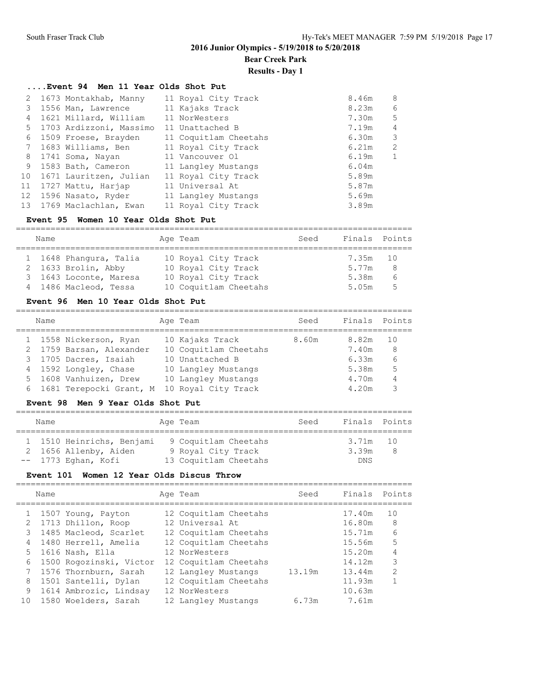**Bear Creek Park**

**Results - Day 1**

# **....Event 94 Men 11 Year Olds Shot Put**

|   | 2 1673 Montakhab, Manny   | 11 Royal City Track   | 8.46m<br>8             |
|---|---------------------------|-----------------------|------------------------|
|   | 3 1556 Man, Lawrence      | 11 Kajaks Track       | 8.23m<br>6             |
| 4 | 1621 Millard, William     | 11 NorWesters         | 5<br>7.30m             |
|   | 5 1703 Ardizzoni, Massimo | 11 Unattached B       | 7.19m<br>4             |
| 6 | 1509 Froese, Brayden      | 11 Coquitlam Cheetahs | 3<br>6.30m             |
|   | 7 1683 Williams, Ben      | 11 Royal City Track   | 6.21m<br>$\mathcal{L}$ |
|   | 8 1741 Soma, Nayan        | 11 Vancouver Ol       | 6.19m                  |
| 9 | 1583 Bath, Cameron        | 11 Langley Mustangs   | 6.04m                  |
|   | 10 1671 Lauritzen, Julian | 11 Royal City Track   | 5.89m                  |
|   | 11 1727 Mattu, Harjap     | 11 Universal At       | 5.87m                  |
|   | 12 1596 Nasato, Ryder     | 11 Langley Mustangs   | 5.69m                  |
|   | 13 1769 Maclachlan, Ewan  | 11 Royal City Track   | 3.89m                  |

#### **Event 95 Women 10 Year Olds Shot Put**

| Name |                        | Age Team |                       | Seed | Finals Points |    |
|------|------------------------|----------|-----------------------|------|---------------|----|
|      |                        |          |                       |      |               |    |
|      | 1 1648 Phangura, Talia |          | 10 Royal City Track   |      | 7.35m 10      |    |
|      | 2 1633 Brolin, Abby    |          | 10 Royal City Track   |      | 5.77m         | -8 |
|      | 3 1643 Loconte, Maresa |          | 10 Royal City Track   |      | 5.38m         | 6  |
|      | 4 1486 Macleod, Tessa  |          | 10 Coquitlam Cheetahs |      | 5.05m         | 5  |

# **Event 96 Men 10 Year Olds Shot Put**

| Name |                                                  | Age Team |                                            | Seed  | Finals Points  |         |
|------|--------------------------------------------------|----------|--------------------------------------------|-------|----------------|---------|
|      | 1558 Nickerson, Ryan<br>2 1759 Barsan, Alexander |          | 10 Kajaks Track<br>10 Coquitlam Cheetahs   | 8.60m | 8.82m<br>7.40m | 10<br>8 |
|      | 3 1705 Dacres, Isaiah                            |          | 10 Unattached B                            |       | 6.33m          | 6       |
|      | 4 1592 Longley, Chase<br>5 1608 Vanhuizen, Drew  |          | 10 Langley Mustangs<br>10 Langley Mustangs |       | 5.38m<br>4.70m | 5<br>4  |
|      | 6 1681 Terepocki Grant, M                        |          | 10 Royal City Track                        |       | 4.20m          | २       |

#### **Event 98 Men 9 Year Olds Shot Put**

| Name |                           |  | Age Team              | Seed | Finals Points |    |  |  |  |  |  |
|------|---------------------------|--|-----------------------|------|---------------|----|--|--|--|--|--|
|      | 1 1510 Heinrichs, Benjami |  | 9 Coquitlam Cheetahs  |      | 3.71m 10      |    |  |  |  |  |  |
|      | 2 1656 Allenby, Aiden     |  | 9 Royal City Track    |      | 3.39m         | -8 |  |  |  |  |  |
|      | $--$ 1773 Eghan, Kofi     |  | 13 Coquitlam Cheetahs |      | <b>DNS</b>    |    |  |  |  |  |  |

================================================================================

# **Event 101 Women 12 Year Olds Discus Throw**

|                 | Name                         | Age Team              | Seed   | Finals | Points         |
|-----------------|------------------------------|-----------------------|--------|--------|----------------|
|                 | 1507 Young, Payton           | 12 Coquitlam Cheetahs |        | 17.40m | 10             |
|                 | 1713 Dhillon, Roop<br>2      | 12 Universal At       |        | 16.80m | 8              |
|                 | 3<br>1485 Macleod, Scarlet   | 12 Coquitlam Cheetahs |        | 15.71m | 6              |
|                 | 1480 Herrell, Amelia<br>4    | 12 Coquitlam Cheetahs |        | 15.56m | 5              |
|                 | 5<br>1616 Nash, Ella         | 12 NorWesters         |        | 15.20m | 4              |
|                 | 1500 Rogozinski, Victor<br>6 | 12 Coquitlam Cheetahs |        | 14.12m | 3              |
|                 | 7<br>1576 Thornburn, Sarah   | 12 Langley Mustangs   | 13.19m | 13.44m | $\mathfrak{D}$ |
| 8               | 1501 Santelli, Dylan         | 12 Coquitlam Cheetahs |        | 11.93m |                |
| 9               | 1614 Ambrozic, Lindsay       | 12 NorWesters         |        | 10.63m |                |
| 10 <sup>°</sup> | 1580 Woelders, Sarah         | 12 Langley Mustangs   | 6.73m  | 7.61m  |                |
|                 |                              |                       |        |        |                |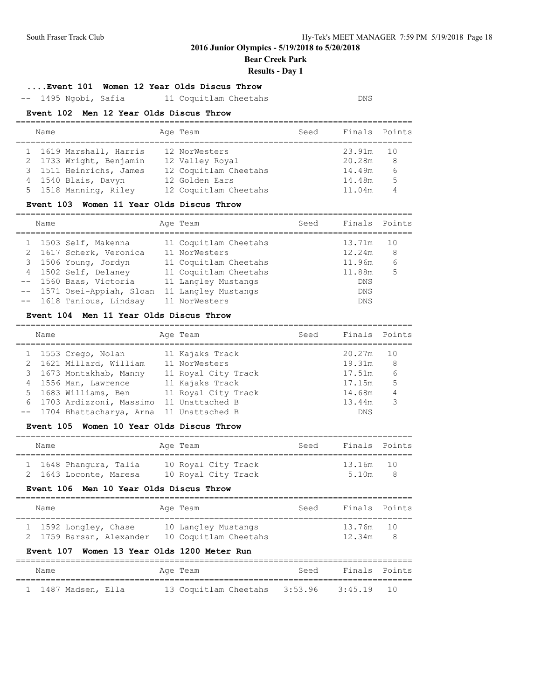# **Bear Creek Park**

## **Results - Day 1**

# **....Event 101 Women 12 Year Olds Discus Throw**

-- 1495 Ngobi, Safia 11 Coquitlam Cheetahs DNS

#### **Event 102 Men 12 Year Olds Discus Throw**

| Name                    |  | Age Team              | Seed | Finals Points |   |  |  |  |  |  |
|-------------------------|--|-----------------------|------|---------------|---|--|--|--|--|--|
|                         |  |                       |      |               |   |  |  |  |  |  |
| 1 1619 Marshall, Harris |  | 12 NorWesters         |      | 23.91m 10     |   |  |  |  |  |  |
| 2 1733 Wright, Benjamin |  | 12 Valley Royal       |      | 20.28m        | 8 |  |  |  |  |  |
| 3 1511 Heinrichs, James |  | 12 Coquitlam Cheetahs |      | 14.49m        | 6 |  |  |  |  |  |
| 4 1540 Blais, Davyn     |  | 12 Golden Ears        |      | 14.48m        | 5 |  |  |  |  |  |
| 5 1518 Manning, Riley   |  | 12 Coquitlam Cheetahs |      | 11.04m        |   |  |  |  |  |  |

#### **Event 103 Women 11 Year Olds Discus Throw**

================================================================================

| Name |                            | Age Team              | Seed | Finals Points |    |
|------|----------------------------|-----------------------|------|---------------|----|
|      | 1 1503 Self, Makenna       | 11 Coquitlam Cheetahs |      | 13.71m        | 10 |
|      | 2 1617 Scherk, Veronica    | 11 NorWesters         |      | 12.24m        | 8  |
|      | 3 1506 Young, Jordyn       | 11 Coquitlam Cheetahs |      | 11.96m        | 6  |
|      | 4 1502 Self, Delaney       | 11 Coquitlam Cheetahs |      | 11.88m        | 5  |
|      | -- 1560 Baas, Victoria     | 11 Langley Mustangs   |      | <b>DNS</b>    |    |
|      | -- 1571 Osei-Appiah, Sloan | 11 Langley Mustangs   |      | <b>DNS</b>    |    |
|      | -- 1618 Tanious, Lindsay   | 11 NorWesters         |      | <b>DNS</b>    |    |

#### **Event 104 Men 11 Year Olds Discus Throw**

================================================================================ Name **Age Team Seed Finals Points** Age Team Seed Finals Points ================================================================================ 1 1553 Crego, Nolan 11 Kajaks Track 20.27m 10 2 1621 Millard, William 11 NorWesters 19.31m 8 3 1673 Montakhab, Manny 11 Royal City Track 17.51m 6 4 1556 Man, Lawrence 11 Kajaks Track 17.15m 5 5 1683 Williams, Ben 11 Royal City Track 14.68m 4 6 1703 Ardizzoni, Massimo 11 Unattached B 13.44m 3 -- 1704 Bhattacharya, Arna 11 Unattached B CONS

#### **Event 105 Women 10 Year Olds Discus Throw**

| Name |                        | Age Team |                     | Seed | Finals Points |  |
|------|------------------------|----------|---------------------|------|---------------|--|
|      | 1 1648 Phangura, Talia |          | 10 Royal City Track |      | 13.16m 10     |  |
|      | 2 1643 Loconte, Maresa |          | 10 Royal City Track |      | 5 1 Om        |  |

#### **Event 106 Men 10 Year Olds Discus Throw**

| Name                                              | Age Team                                     | Seed | Finals Points       |     |
|---------------------------------------------------|----------------------------------------------|------|---------------------|-----|
| 1 1592 Longley, Chase<br>2 1759 Barsan, Alexander | 10 Langley Mustangs<br>10 Coquitlam Cheetahs |      | 13.76m 10<br>12.34m | - 8 |

#### **Event 107 Women 13 Year Olds 1200 Meter Run**

| Name                |  | Age Team                                 | Seed | Finals Points |  |
|---------------------|--|------------------------------------------|------|---------------|--|
| 1 1487 Madsen, Ella |  | 13 Coquitlam Cheetahs 3:53.96 3:45.19 10 |      |               |  |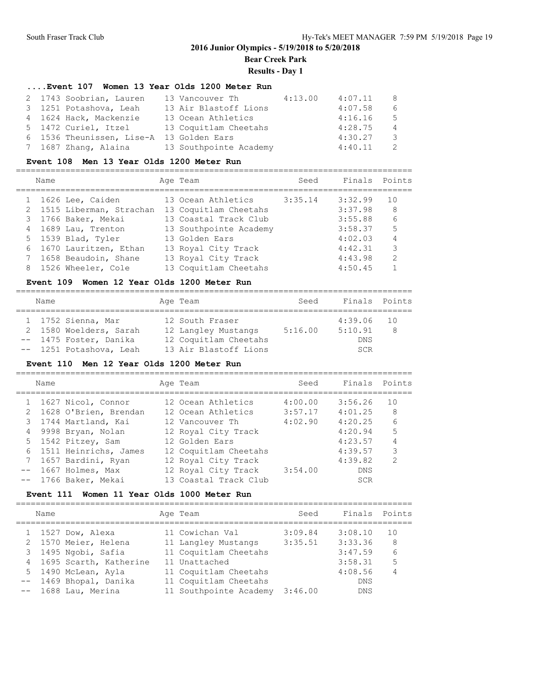**Bear Creek Park**

# **Results - Day 1**

================================================================================

# **....Event 107 Women 13 Year Olds 1200 Meter Run**

| 2 1743 Soobrian, Lauren   | 13 Vancouver Th        | 4:13.00 | 4:07.11 | 8  |
|---------------------------|------------------------|---------|---------|----|
| 3 1251 Potashova, Leah    | 13 Air Blastoff Lions  |         | 4:07.58 | 6  |
| 4 1624 Hack, Mackenzie    | 13 Ocean Athletics     |         | 4:16.16 | -5 |
| 5 1472 Curiel, Itzel      | 13 Coquitlam Cheetahs  |         | 4:28.75 | 4  |
| 6 1536 Theunissen, Lise-A | 13 Golden Ears         |         | 4:30.27 | 3  |
| 7 1687 Zhang, Alaina      | 13 Southpointe Academy |         | 4:40.11 | 2  |

#### **Event 108 Men 13 Year Olds 1200 Meter Run**

================================================================================

| Name |                           | Age Team               | Seed    | Finals Points |               |
|------|---------------------------|------------------------|---------|---------------|---------------|
|      | 1 1626 Lee, Caiden        | 13 Ocean Athletics     | 3:35.14 | 3:32.99       | 10            |
|      | 2 1515 Liberman, Strachan | 13 Coquitlam Cheetahs  |         | 3:37.98       | 8             |
|      | 3 1766 Baker, Mekai       | 13 Coastal Track Club  |         | 3:55.88       | 6             |
|      | 4 1689 Lau, Trenton       | 13 Southpointe Academy |         | 3:58.37       | 5             |
|      | 5 1539 Blad, Tyler        | 13 Golden Ears         |         | 4:02.03       | 4             |
|      | 6 1670 Lauritzen, Ethan   | 13 Royal City Track    |         | 4:42.31       | 3             |
|      | 1658 Beaudoin, Shane      | 13 Royal City Track    |         | 4:43.98       | $\mathcal{D}$ |
|      | 8 1526 Wheeler, Cole      | 13 Coquitlam Cheetahs  |         | 4:50.45       |               |
|      |                           |                        |         |               |               |

# **Event 109 Women 12 Year Olds 1200 Meter Run**

|  | Name |                         |  | Age Team              | Seed    | Finals Points |    |
|--|------|-------------------------|--|-----------------------|---------|---------------|----|
|  |      |                         |  |                       |         |               |    |
|  |      | 1 1752 Sienna, Mar      |  | 12 South Fraser       |         | 4:39.06       | 10 |
|  |      | 2 1580 Woelders, Sarah  |  | 12 Langley Mustangs   | 5:16.00 | 5:10.91       | 8  |
|  |      | -- 1475 Foster, Danika  |  | 12 Coquitlam Cheetahs |         | <b>DNS</b>    |    |
|  |      | -- 1251 Potashova, Leah |  | 13 Air Blastoff Lions |         | <b>SCR</b>    |    |

# **Event 110 Men 12 Year Olds 1200 Meter Run**

|   | Name |                       | Age Team              | Seed    | Finals Points |                |
|---|------|-----------------------|-----------------------|---------|---------------|----------------|
|   |      | 1627 Nicol, Connor    | 12 Ocean Athletics    | 4:00.00 | 3:56.26       | 1 O            |
|   |      | 1628 O'Brien, Brendan | 12 Ocean Athletics    | 3:57.17 | 4:01.25       | 8              |
|   |      | 1744 Martland, Kai    | 12 Vancouver Th       | 4:02.90 | 4:20.25       | 6              |
| 4 |      | 9998 Bryan, Nolan     | 12 Royal City Track   |         | 4:20.94       | 5              |
|   |      | 5 1542 Pitzey, Sam    | 12 Golden Ears        |         | 4:23.57       | 4              |
| 6 |      | 1511 Heinrichs, James | 12 Coquitlam Cheetahs |         | 4:39.57       | 3              |
|   |      | 1657 Bardini, Ryan    | 12 Royal City Track   |         | 4:39.82       | $\mathfrak{D}$ |
|   |      | -- 1667 Holmes, Max   | 12 Royal City Track   | 3:54.00 | <b>DNS</b>    |                |
|   |      | 1766 Baker, Mekai     | 13 Coastal Track Club |         | <b>SCR</b>    |                |

#### **Event 111 Women 11 Year Olds 1000 Meter Run**

| Name                     | Age Team               | Seed    | Finals Points |     |
|--------------------------|------------------------|---------|---------------|-----|
| 1 1527 Dow, Alexa        | 11 Cowichan Val        | 3:09.84 | 3:08.10       | 1 O |
| 2 1570 Meier, Helena     | 11 Langley Mustangs    | 3:35.51 | 3:33.36       | 8   |
| 3 1495 Ngobi, Safia      | 11 Coquitlam Cheetahs  |         | 3:47.59       | 6   |
| 4 1695 Scarth, Katherine | 11 Unattached          |         | 3:58.31       | 5   |
| 5 1490 McLean, Ayla      | 11 Coquitlam Cheetahs  |         | 4:08.56       | 4   |
| -- 1469 Bhopal, Danika   | 11 Coquitlam Cheetahs  |         | <b>DNS</b>    |     |
| -- 1688 Lau, Merina      | 11 Southpointe Academy | 3:46.00 | <b>DNS</b>    |     |